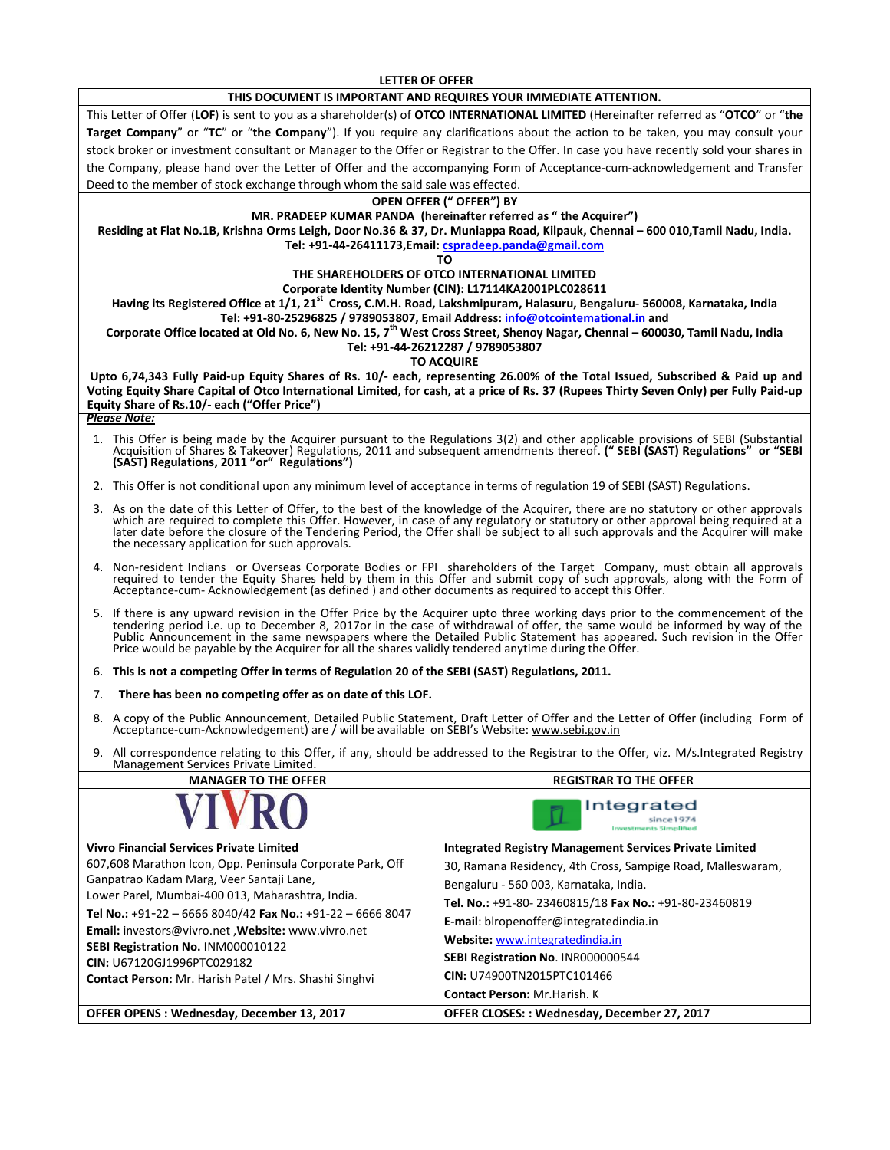**LETTER OF OFFER**

#### **THIS DOCUMENT IS IMPORTANT AND REQUIRES YOUR IMMEDIATE ATTENTION.**

This Letter of Offer (**LOF**) is sent to you as a shareholder(s) of **OTCO INTERNATIONAL LIMITED** (Hereinafter referred as "**OTCO**" or "**the Target Company**" or "**TC**" or "**the Company**"). If you require any clarifications about the action to be taken, you may consult your stock broker or investment consultant or Manager to the Offer or Registrar to the Offer. In case you have recently sold your shares in the Company, please hand over the Letter of Offer and the accompanying Form of Acceptance-cum-acknowledgement and Transfer Deed to the member of stock exchange through whom the said sale was effected.

#### **OPEN OFFER (" OFFER") BY**

#### **MR. PRADEEP KUMAR PANDA (hereinafter referred as " the Acquirer")**

**Residing at Flat No.1B, Krishna Orms Leigh, Door No.36 & 37, Dr. Muniappa Road, Kilpauk, Chennai – 600 010,Tamil Nadu, India. Tel: +91-44-26411173,Email: [cspradeep.panda@gmail.com](mailto:cspradeep.panda@gmail.com)**

**TO** 

# **THE SHAREHOLDERS OF OTCO INTERNATIONAL LIMITED**

#### **Corporate Identity Number (CIN): L17114KA2001PLC028611**

**Having its Registered Office at 1/1, 21st Cross, C.M.H. Road, Lakshmipuram, Halasuru, Bengaluru- 560008, Karnataka, India Tel: +91-80-25296825 / 9789053807, Email Address[: info@otcointemational.in](mailto:info@otcointemational.in) and** 

**Corporate Office located at Old No. 6, New No. 15, 7th West Cross Street, Shenoy Nagar, Chennai – 600030, Tamil Nadu, India**

#### **Tel: +91-44-26212287 / 9789053807**

#### **TO ACQUIRE**

**Upto 6,74,343 Fully Paid-up Equity Shares of Rs. 10/- each, representing 26.00% of the Total Issued, Subscribed & Paid up and Voting Equity Share Capital of Otco International Limited, for cash, at a price of Rs. 37 (Rupees Thirty Seven Only) per Fully Paid-up Equity Share of Rs.10/- each ("Offer Price")**

## *Please Note:*

- 1. This Offer is being made by the Acquirer pursuant to the Regulations 3(2) and other applicable provisions of SEBI (Substantial Acquisition of Shares & Takeover) Regulations, 2011 and subsequent amendments thereof. **(" SEBI (SAST) Regulations" or "SEBI (SAST) Regulations, 2011 "or" Regulations")**
- 2. This Offer is not conditional upon any minimum level of acceptance in terms of regulation 19 of SEBI (SAST) Regulations.
- 3. As on the date of this Letter of Offer, to the best of the knowledge of the Acquirer, there are no statutory or other approvals which are required to complete this Offer. However, in case of any regulatory or statutory or other approval being required at a later date before the closure of the Tendering Period, the Offer shall be subject to all such approvals and the Acquirer will make the necessary application for such approvals.
- 4. Non-resident Indians or Overseas Corporate Bodies or FPI shareholders of the Target Company, must obtain all approvals<br>required to tender the Equity Shares held by them in this Offer and submit copy of such approvals, a Acceptance-cum- Acknowledgement (as defined ) and other documents as required to accept this Offer.
- 5. If there is any upward revision in the Offer Price by the Acquirer upto three working days prior to the commencement of the tendering period i.e. up to December 8, 2017or in the case of withdrawal of offer, the same would be informed by way of the Public Announcement in the same newspapers where the Detailed Public Statement has appeared. Such revision in the Offer<br>Price would be payable by the Acquirer for all the shares validly tendered anytime during the Offer.

6. **This is not a competing Offer in terms of Regulation 20 of the SEBI (SAST) Regulations, 2011.**

#### 7. **There has been no competing offer as on date of this LOF.**

- 8. A copy of the Public Announcement, Detailed Public Statement, Draft Letter of Offer and the Letter of Offer (including Form of Acceptance-cum-Acknowledgement) are / will be available on SEBI's Website: [www.sebi.gov.in](http://www.sebi.gov.in/)
- 9. All correspondence relating to this Offer, if any, should be addressed to the Registrar to the Offer, viz. M/s.Integrated Registry Management Services Private Limited.

| <b>MANAGER TO THE OFFER</b>                                                                                                | <b>REGISTRAR TO THE OFFER</b>                                  |
|----------------------------------------------------------------------------------------------------------------------------|----------------------------------------------------------------|
|                                                                                                                            | Integrated                                                     |
| <b>Vivro Financial Services Private Limited</b>                                                                            | <b>Integrated Registry Management Services Private Limited</b> |
| 607,608 Marathon Icon, Opp. Peninsula Corporate Park, Off                                                                  | 30, Ramana Residency, 4th Cross, Sampige Road, Malleswaram,    |
| Ganpatrao Kadam Marg, Veer Santaji Lane,<br>Lower Parel, Mumbai-400 013, Maharashtra, India.                               | Bengaluru - 560 003, Karnataka, India.                         |
|                                                                                                                            | Tel. No.: +91-80-23460815/18 Fax No.: +91-80-23460819          |
| Tel No.: +91-22 - 6666 8040/42 Fax No.: +91-22 - 6666 8047                                                                 | E-mail: biropenoffer@integratedindia.in                        |
| Email: investors@vivro.net , Website: www.vivro.net                                                                        | Website: www.integratedindia.in                                |
| SEBI Registration No. INM000010122<br>CIN: U67120GJ1996PTC029182<br>Contact Person: Mr. Harish Patel / Mrs. Shashi Singhvi | SEBI Registration No. INR000000544                             |
|                                                                                                                            | CIN: U74900TN2015PTC101466                                     |
|                                                                                                                            | <b>Contact Person: Mr. Harish, K.</b>                          |
| OFFER OPENS : Wednesday, December 13, 2017                                                                                 | OFFER CLOSES:: Wednesday, December 27, 2017                    |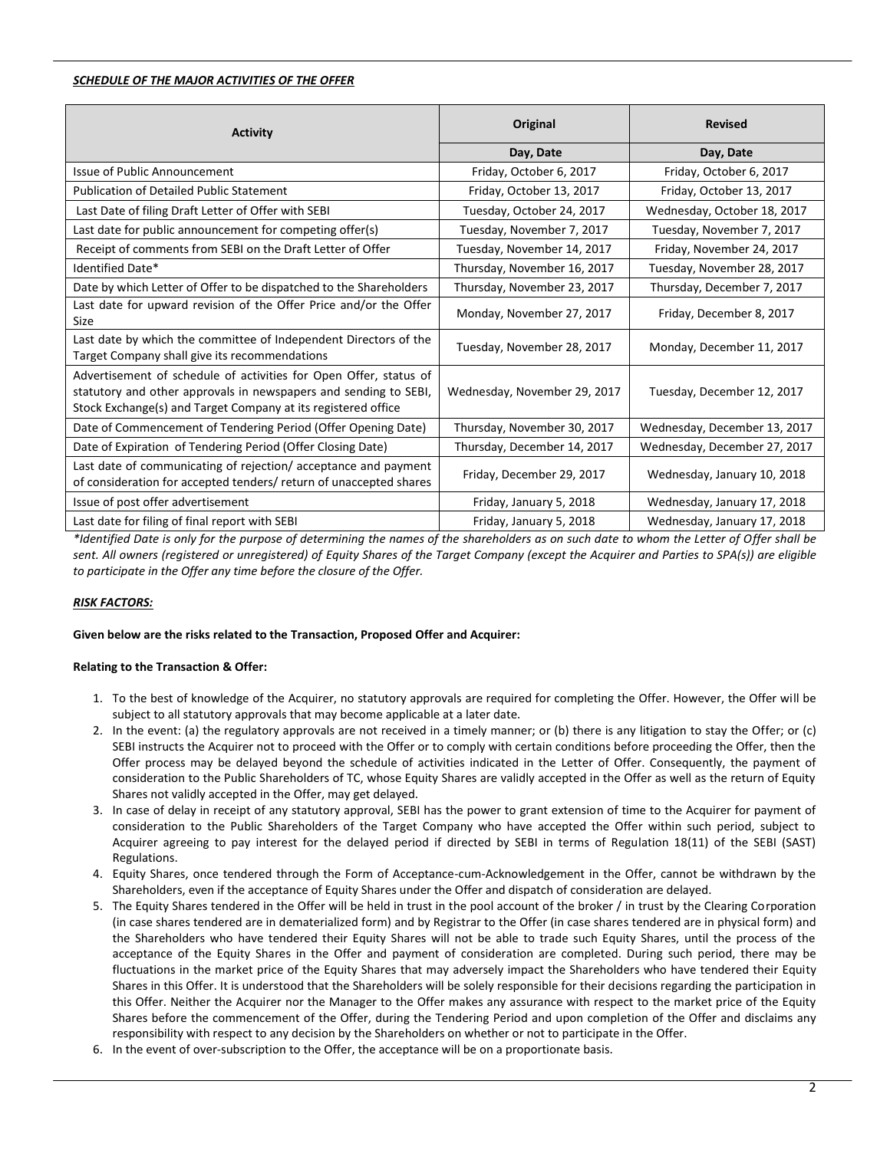#### *SCHEDULE OF THE MAJOR ACTIVITIES OF THE OFFER*

| <b>Activity</b>                                                                                                                                                                                        | Original                     | <b>Revised</b>               |
|--------------------------------------------------------------------------------------------------------------------------------------------------------------------------------------------------------|------------------------------|------------------------------|
|                                                                                                                                                                                                        | Day, Date                    | Day, Date                    |
| Issue of Public Announcement                                                                                                                                                                           | Friday, October 6, 2017      | Friday, October 6, 2017      |
| <b>Publication of Detailed Public Statement</b>                                                                                                                                                        | Friday, October 13, 2017     | Friday, October 13, 2017     |
| Last Date of filing Draft Letter of Offer with SEBI                                                                                                                                                    | Tuesday, October 24, 2017    | Wednesday, October 18, 2017  |
| Last date for public announcement for competing offer(s)                                                                                                                                               | Tuesday, November 7, 2017    | Tuesday, November 7, 2017    |
| Receipt of comments from SEBI on the Draft Letter of Offer                                                                                                                                             | Tuesday, November 14, 2017   | Friday, November 24, 2017    |
| Identified Date*                                                                                                                                                                                       | Thursday, November 16, 2017  | Tuesday, November 28, 2017   |
| Date by which Letter of Offer to be dispatched to the Shareholders                                                                                                                                     | Thursday, November 23, 2017  | Thursday, December 7, 2017   |
| Last date for upward revision of the Offer Price and/or the Offer<br>Size                                                                                                                              | Monday, November 27, 2017    | Friday, December 8, 2017     |
| Last date by which the committee of Independent Directors of the<br>Target Company shall give its recommendations                                                                                      | Tuesday, November 28, 2017   | Monday, December 11, 2017    |
| Advertisement of schedule of activities for Open Offer, status of<br>statutory and other approvals in newspapers and sending to SEBI,<br>Stock Exchange(s) and Target Company at its registered office | Wednesday, November 29, 2017 | Tuesday, December 12, 2017   |
| Date of Commencement of Tendering Period (Offer Opening Date)                                                                                                                                          | Thursday, November 30, 2017  | Wednesday, December 13, 2017 |
| Date of Expiration of Tendering Period (Offer Closing Date)                                                                                                                                            | Thursday, December 14, 2017  | Wednesday, December 27, 2017 |
| Last date of communicating of rejection/acceptance and payment<br>of consideration for accepted tenders/ return of unaccepted shares                                                                   | Friday, December 29, 2017    | Wednesday, January 10, 2018  |
| Issue of post offer advertisement                                                                                                                                                                      | Friday, January 5, 2018      | Wednesday, January 17, 2018  |
| Last date for filing of final report with SEBI                                                                                                                                                         | Friday, January 5, 2018      | Wednesday, January 17, 2018  |

*\*Identified Date is only for the purpose of determining the names of the shareholders as on such date to whom the Letter of Offer shall be sent. All owners (registered or unregistered) of Equity Shares of the Target Company (except the Acquirer and Parties to SPA(s)) are eligible to participate in the Offer any time before the closure of the Offer.*

## *RISK FACTORS:*

#### **Given below are the risks related to the Transaction, Proposed Offer and Acquirer:**

## **Relating to the Transaction & Offer:**

- 1. To the best of knowledge of the Acquirer, no statutory approvals are required for completing the Offer. However, the Offer will be subject to all statutory approvals that may become applicable at a later date.
- 2. In the event: (a) the regulatory approvals are not received in a timely manner; or (b) there is any litigation to stay the Offer; or (c) SEBI instructs the Acquirer not to proceed with the Offer or to comply with certain conditions before proceeding the Offer, then the Offer process may be delayed beyond the schedule of activities indicated in the Letter of Offer. Consequently, the payment of consideration to the Public Shareholders of TC, whose Equity Shares are validly accepted in the Offer as well as the return of Equity Shares not validly accepted in the Offer, may get delayed.
- 3. In case of delay in receipt of any statutory approval, SEBI has the power to grant extension of time to the Acquirer for payment of consideration to the Public Shareholders of the Target Company who have accepted the Offer within such period, subject to Acquirer agreeing to pay interest for the delayed period if directed by SEBI in terms of Regulation 18(11) of the SEBI (SAST) Regulations.
- 4. Equity Shares, once tendered through the Form of Acceptance-cum-Acknowledgement in the Offer, cannot be withdrawn by the Shareholders, even if the acceptance of Equity Shares under the Offer and dispatch of consideration are delayed.
- 5. The Equity Shares tendered in the Offer will be held in trust in the pool account of the broker / in trust by the Clearing Corporation (in case shares tendered are in dematerialized form) and by Registrar to the Offer (in case shares tendered are in physical form) and the Shareholders who have tendered their Equity Shares will not be able to trade such Equity Shares, until the process of the acceptance of the Equity Shares in the Offer and payment of consideration are completed. During such period, there may be fluctuations in the market price of the Equity Shares that may adversely impact the Shareholders who have tendered their Equity Shares in this Offer. It is understood that the Shareholders will be solely responsible for their decisions regarding the participation in this Offer. Neither the Acquirer nor the Manager to the Offer makes any assurance with respect to the market price of the Equity Shares before the commencement of the Offer, during the Tendering Period and upon completion of the Offer and disclaims any responsibility with respect to any decision by the Shareholders on whether or not to participate in the Offer.
- 6. In the event of over-subscription to the Offer, the acceptance will be on a proportionate basis.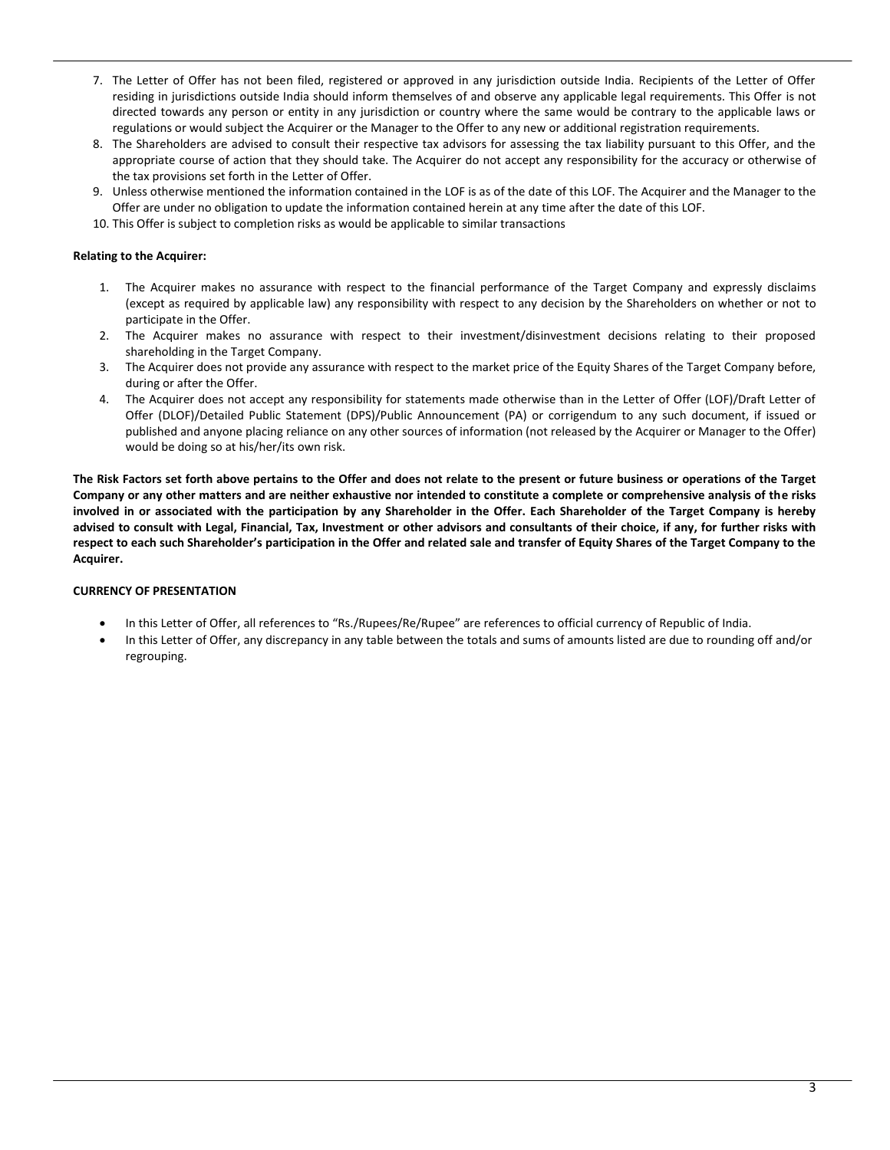- 7. The Letter of Offer has not been filed, registered or approved in any jurisdiction outside India. Recipients of the Letter of Offer residing in jurisdictions outside India should inform themselves of and observe any applicable legal requirements. This Offer is not directed towards any person or entity in any jurisdiction or country where the same would be contrary to the applicable laws or regulations or would subject the Acquirer or the Manager to the Offer to any new or additional registration requirements.
- 8. The Shareholders are advised to consult their respective tax advisors for assessing the tax liability pursuant to this Offer, and the appropriate course of action that they should take. The Acquirer do not accept any responsibility for the accuracy or otherwise of the tax provisions set forth in the Letter of Offer.
- 9. Unless otherwise mentioned the information contained in the LOF is as of the date of this LOF. The Acquirer and the Manager to the Offer are under no obligation to update the information contained herein at any time after the date of this LOF.
- 10. This Offer is subject to completion risks as would be applicable to similar transactions

#### **Relating to the Acquirer:**

- 1. The Acquirer makes no assurance with respect to the financial performance of the Target Company and expressly disclaims (except as required by applicable law) any responsibility with respect to any decision by the Shareholders on whether or not to participate in the Offer.
- 2. The Acquirer makes no assurance with respect to their investment/disinvestment decisions relating to their proposed shareholding in the Target Company.
- 3. The Acquirer does not provide any assurance with respect to the market price of the Equity Shares of the Target Company before, during or after the Offer.
- 4. The Acquirer does not accept any responsibility for statements made otherwise than in the Letter of Offer (LOF)/Draft Letter of Offer (DLOF)/Detailed Public Statement (DPS)/Public Announcement (PA) or corrigendum to any such document, if issued or published and anyone placing reliance on any other sources of information (not released by the Acquirer or Manager to the Offer) would be doing so at his/her/its own risk.

**The Risk Factors set forth above pertains to the Offer and does not relate to the present or future business or operations of the Target Company or any other matters and are neither exhaustive nor intended to constitute a complete or comprehensive analysis of the risks involved in or associated with the participation by any Shareholder in the Offer. Each Shareholder of the Target Company is hereby advised to consult with Legal, Financial, Tax, Investment or other advisors and consultants of their choice, if any, for further risks with respect to each such Shareholder's participation in the Offer and related sale and transfer of Equity Shares of the Target Company to the Acquirer.** 

## **CURRENCY OF PRESENTATION**

- In this Letter of Offer, all references to "Rs./Rupees/Re/Rupee" are references to official currency of Republic of India.
- In this Letter of Offer, any discrepancy in any table between the totals and sums of amounts listed are due to rounding off and/or regrouping.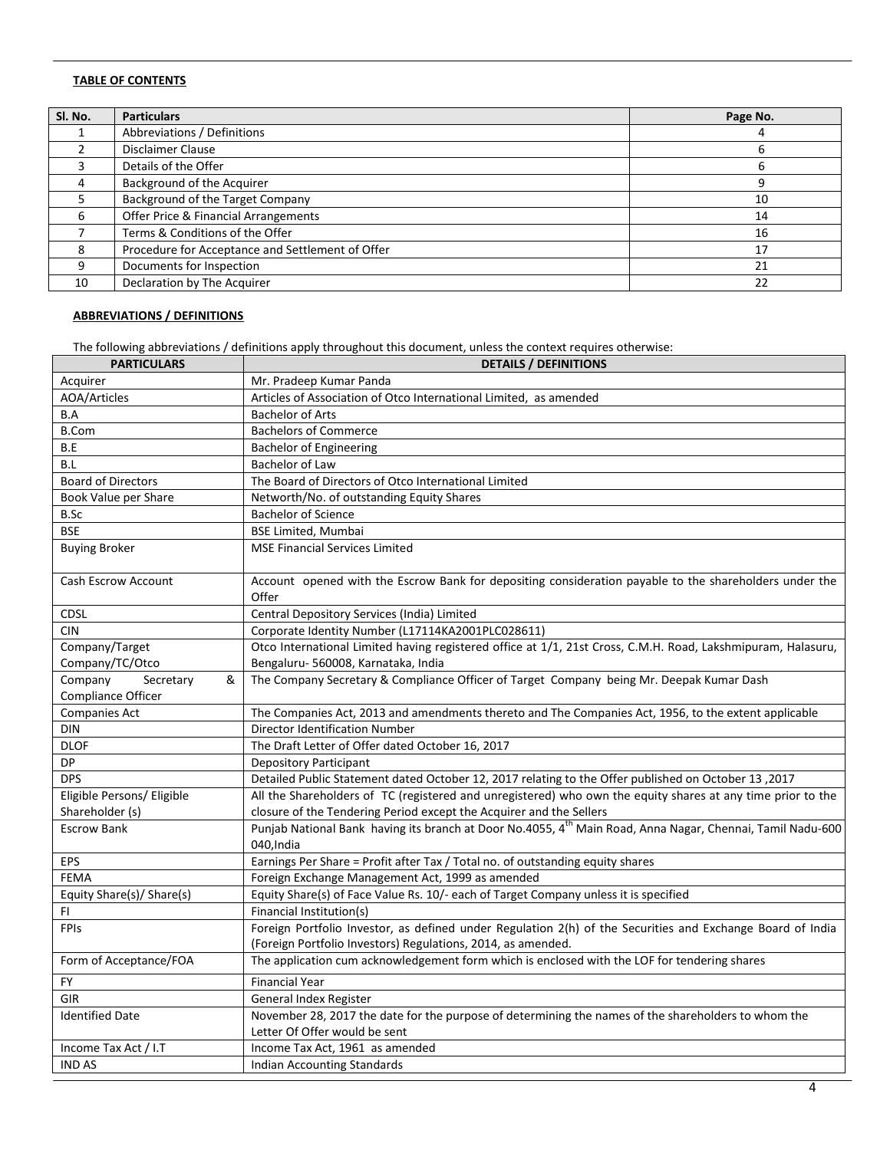# **TABLE OF CONTENTS**

| Sl. No. | <b>Particulars</b>                               | Page No. |
|---------|--------------------------------------------------|----------|
|         | Abbreviations / Definitions                      |          |
|         | Disclaimer Clause                                |          |
|         | Details of the Offer                             |          |
|         | Background of the Acquirer                       |          |
|         | Background of the Target Company                 | 10       |
| 6       | Offer Price & Financial Arrangements             | 14       |
|         | Terms & Conditions of the Offer                  | 16       |
| 8       | Procedure for Acceptance and Settlement of Offer | 17       |
| 9       | Documents for Inspection                         | 21       |
| 10      | Declaration by The Acquirer                      | 22       |

# **ABBREVIATIONS / DEFINITIONS**

The following abbreviations / definitions apply throughout this document, unless the context requires otherwise:

| <b>PARTICULARS</b>         | <b>DETAILS / DEFINITIONS</b>                                                                                                         |
|----------------------------|--------------------------------------------------------------------------------------------------------------------------------------|
| Acquirer                   | Mr. Pradeep Kumar Panda                                                                                                              |
| <b>AOA/Articles</b>        | Articles of Association of Otco International Limited, as amended                                                                    |
| B.A                        | <b>Bachelor of Arts</b>                                                                                                              |
| <b>B.Com</b>               | <b>Bachelors of Commerce</b>                                                                                                         |
| B.E                        | Bachelor of Engineering                                                                                                              |
| B.L                        | Bachelor of Law                                                                                                                      |
| <b>Board of Directors</b>  | The Board of Directors of Otco International Limited                                                                                 |
| Book Value per Share       | Networth/No. of outstanding Equity Shares                                                                                            |
| B.Sc                       | <b>Bachelor of Science</b>                                                                                                           |
| <b>BSE</b>                 | <b>BSE Limited, Mumbai</b>                                                                                                           |
| <b>Buying Broker</b>       | <b>MSE Financial Services Limited</b>                                                                                                |
| Cash Escrow Account        | Account opened with the Escrow Bank for depositing consideration payable to the shareholders under the<br>Offer                      |
| <b>CDSL</b>                | Central Depository Services (India) Limited                                                                                          |
| <b>CIN</b>                 | Corporate Identity Number (L17114KA2001PLC028611)                                                                                    |
| Company/Target             | Otco International Limited having registered office at 1/1, 21st Cross, C.M.H. Road, Lakshmipuram, Halasuru,                         |
| Company/TC/Otco            | Bengaluru- 560008, Karnataka, India                                                                                                  |
| Company<br>&<br>Secretary  | The Company Secretary & Compliance Officer of Target Company being Mr. Deepak Kumar Dash                                             |
| Compliance Officer         |                                                                                                                                      |
| <b>Companies Act</b>       | The Companies Act, 2013 and amendments thereto and The Companies Act, 1956, to the extent applicable                                 |
| DIN                        | Director Identification Number                                                                                                       |
| <b>DLOF</b>                | The Draft Letter of Offer dated October 16, 2017                                                                                     |
| DP                         | <b>Depository Participant</b>                                                                                                        |
| <b>DPS</b>                 | Detailed Public Statement dated October 12, 2017 relating to the Offer published on October 13, 2017                                 |
| Eligible Persons/ Eligible | All the Shareholders of TC (registered and unregistered) who own the equity shares at any time prior to the                          |
| Shareholder (s)            | closure of the Tendering Period except the Acquirer and the Sellers                                                                  |
| <b>Escrow Bank</b>         | Punjab National Bank having its branch at Door No.4055, 4 <sup>th</sup> Main Road, Anna Nagar, Chennai, Tamil Nadu-600<br>040, India |
| EPS                        | Earnings Per Share = Profit after Tax / Total no. of outstanding equity shares                                                       |
| <b>FEMA</b>                | Foreign Exchange Management Act, 1999 as amended                                                                                     |
| Equity Share(s)/ Share(s)  | Equity Share(s) of Face Value Rs. 10/- each of Target Company unless it is specified                                                 |
| FI                         | Financial Institution(s)                                                                                                             |
| <b>FPIs</b>                | Foreign Portfolio Investor, as defined under Regulation 2(h) of the Securities and Exchange Board of India                           |
|                            | (Foreign Portfolio Investors) Regulations, 2014, as amended.                                                                         |
| Form of Acceptance/FOA     | The application cum acknowledgement form which is enclosed with the LOF for tendering shares                                         |
| FY                         | <b>Financial Year</b>                                                                                                                |
| <b>GIR</b>                 | General Index Register                                                                                                               |
| <b>Identified Date</b>     | November 28, 2017 the date for the purpose of determining the names of the shareholders to whom the                                  |
|                            | Letter Of Offer would be sent                                                                                                        |
| Income Tax Act / I.T       | Income Tax Act, 1961 as amended                                                                                                      |
| <b>IND AS</b>              | Indian Accounting Standards                                                                                                          |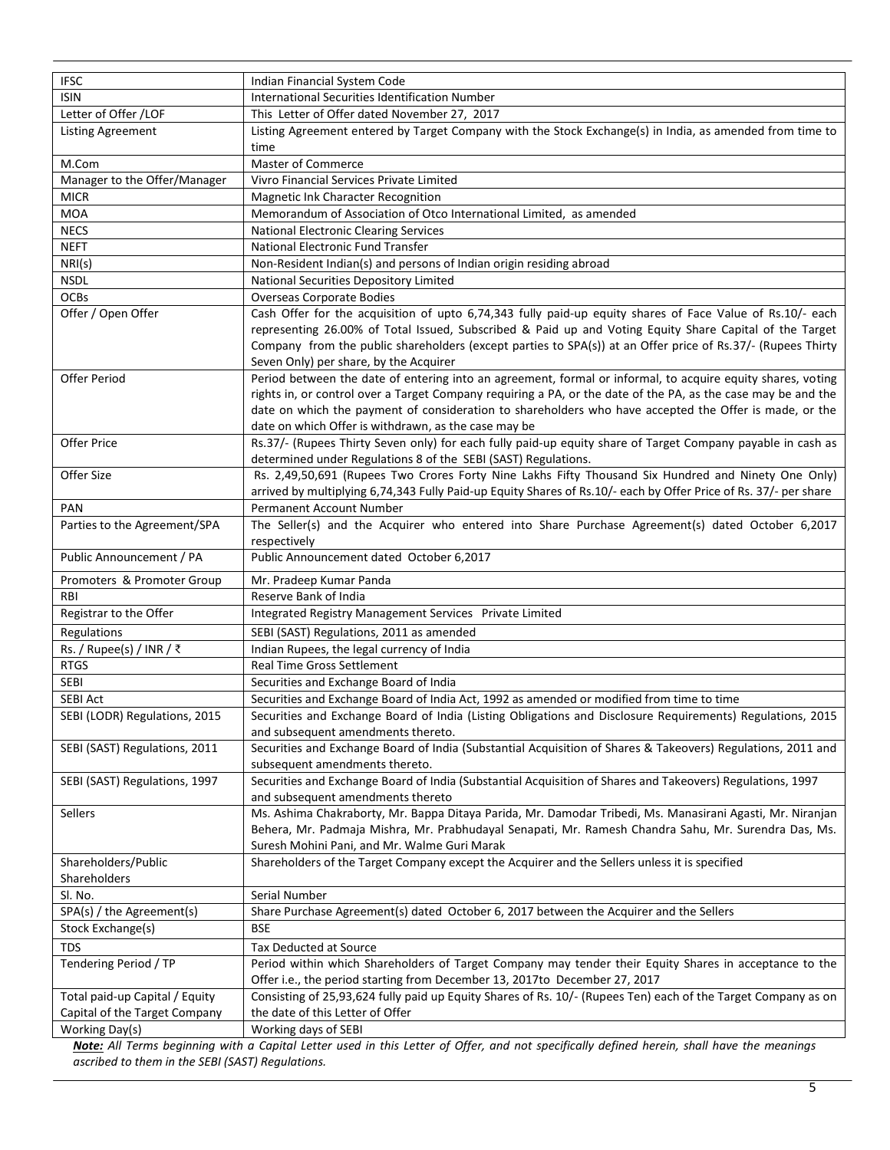| <b>IFSC</b>                    | Indian Financial System Code                                                                                                                                                                            |
|--------------------------------|---------------------------------------------------------------------------------------------------------------------------------------------------------------------------------------------------------|
| <b>ISIN</b>                    | International Securities Identification Number                                                                                                                                                          |
| Letter of Offer /LOF           | This Letter of Offer dated November 27, 2017                                                                                                                                                            |
| <b>Listing Agreement</b>       | Listing Agreement entered by Target Company with the Stock Exchange(s) in India, as amended from time to                                                                                                |
|                                | time                                                                                                                                                                                                    |
| M.Com                          | Master of Commerce                                                                                                                                                                                      |
| Manager to the Offer/Manager   | Vivro Financial Services Private Limited                                                                                                                                                                |
| <b>MICR</b>                    | Magnetic Ink Character Recognition                                                                                                                                                                      |
| <b>MOA</b>                     | Memorandum of Association of Otco International Limited, as amended                                                                                                                                     |
| <b>NECS</b>                    | <b>National Electronic Clearing Services</b>                                                                                                                                                            |
| <b>NEFT</b>                    | National Electronic Fund Transfer                                                                                                                                                                       |
| NRI(s)                         | Non-Resident Indian(s) and persons of Indian origin residing abroad                                                                                                                                     |
| <b>NSDL</b>                    | National Securities Depository Limited                                                                                                                                                                  |
| <b>OCBs</b>                    | <b>Overseas Corporate Bodies</b>                                                                                                                                                                        |
| Offer / Open Offer             | Cash Offer for the acquisition of upto 6,74,343 fully paid-up equity shares of Face Value of Rs.10/- each                                                                                               |
|                                | representing 26.00% of Total Issued, Subscribed & Paid up and Voting Equity Share Capital of the Target                                                                                                 |
|                                | Company from the public shareholders (except parties to SPA(s)) at an Offer price of Rs.37/- (Rupees Thirty                                                                                             |
|                                | Seven Only) per share, by the Acquirer                                                                                                                                                                  |
| Offer Period                   | Period between the date of entering into an agreement, formal or informal, to acquire equity shares, voting                                                                                             |
|                                | rights in, or control over a Target Company requiring a PA, or the date of the PA, as the case may be and the                                                                                           |
|                                | date on which the payment of consideration to shareholders who have accepted the Offer is made, or the                                                                                                  |
|                                | date on which Offer is withdrawn, as the case may be                                                                                                                                                    |
| <b>Offer Price</b>             | Rs.37/- (Rupees Thirty Seven only) for each fully paid-up equity share of Target Company payable in cash as                                                                                             |
|                                | determined under Regulations 8 of the SEBI (SAST) Regulations.                                                                                                                                          |
| Offer Size                     | Rs. 2,49,50,691 (Rupees Two Crores Forty Nine Lakhs Fifty Thousand Six Hundred and Ninety One Only)                                                                                                     |
|                                | arrived by multiplying 6,74,343 Fully Paid-up Equity Shares of Rs.10/- each by Offer Price of Rs. 37/- per share                                                                                        |
| <b>PAN</b>                     | Permanent Account Number                                                                                                                                                                                |
| Parties to the Agreement/SPA   | The Seller(s) and the Acquirer who entered into Share Purchase Agreement(s) dated October 6,2017<br>respectively                                                                                        |
| Public Announcement / PA       | Public Announcement dated October 6,2017                                                                                                                                                                |
| Promoters & Promoter Group     | Mr. Pradeep Kumar Panda                                                                                                                                                                                 |
| RBI                            | Reserve Bank of India                                                                                                                                                                                   |
| Registrar to the Offer         | Integrated Registry Management Services Private Limited                                                                                                                                                 |
| Regulations                    | SEBI (SAST) Regulations, 2011 as amended                                                                                                                                                                |
| Rs. / Rupee(s) / INR / ₹       | Indian Rupees, the legal currency of India                                                                                                                                                              |
| <b>RTGS</b>                    | Real Time Gross Settlement                                                                                                                                                                              |
| <b>SEBI</b>                    | Securities and Exchange Board of India                                                                                                                                                                  |
|                                |                                                                                                                                                                                                         |
| <b>SEBI Act</b>                | Securities and Exchange Board of India Act, 1992 as amended or modified from time to time<br>Securities and Exchange Board of India (Listing Obligations and Disclosure Requirements) Regulations, 2015 |
| SEBI (LODR) Regulations, 2015  | and subsequent amendments thereto.                                                                                                                                                                      |
| SEBI (SAST) Regulations, 2011  | Securities and Exchange Board of India (Substantial Acquisition of Shares & Takeovers) Regulations, 2011 and                                                                                            |
|                                | subsequent amendments thereto.                                                                                                                                                                          |
| SEBI (SAST) Regulations, 1997  | Securities and Exchange Board of India (Substantial Acquisition of Shares and Takeovers) Regulations, 1997                                                                                              |
|                                | and subsequent amendments thereto                                                                                                                                                                       |
| Sellers                        | Ms. Ashima Chakraborty, Mr. Bappa Ditaya Parida, Mr. Damodar Tribedi, Ms. Manasirani Agasti, Mr. Niranjan                                                                                               |
|                                | Behera, Mr. Padmaja Mishra, Mr. Prabhudayal Senapati, Mr. Ramesh Chandra Sahu, Mr. Surendra Das, Ms.                                                                                                    |
|                                | Suresh Mohini Pani, and Mr. Walme Guri Marak                                                                                                                                                            |
| Shareholders/Public            | Shareholders of the Target Company except the Acquirer and the Sellers unless it is specified                                                                                                           |
| Shareholders                   |                                                                                                                                                                                                         |
| SI. No.                        | Serial Number                                                                                                                                                                                           |
| SPA(s) / the Agreement(s)      | Share Purchase Agreement(s) dated October 6, 2017 between the Acquirer and the Sellers                                                                                                                  |
| Stock Exchange(s)              | <b>BSE</b>                                                                                                                                                                                              |
| <b>TDS</b>                     | Tax Deducted at Source                                                                                                                                                                                  |
| Tendering Period / TP          | Period within which Shareholders of Target Company may tender their Equity Shares in acceptance to the                                                                                                  |
|                                | Offer i.e., the period starting from December 13, 2017to December 27, 2017                                                                                                                              |
| Total paid-up Capital / Equity | Consisting of 25,93,624 fully paid up Equity Shares of Rs. 10/- (Rupees Ten) each of the Target Company as on                                                                                           |
| Capital of the Target Company  | the date of this Letter of Offer                                                                                                                                                                        |
| Working Day(s)                 | Working days of SEBI                                                                                                                                                                                    |
|                                |                                                                                                                                                                                                         |

*Note: All Terms beginning with a Capital Letter used in this Letter of Offer, and not specifically defined herein, shall have the meanings ascribed to them in the SEBI (SAST) Regulations.*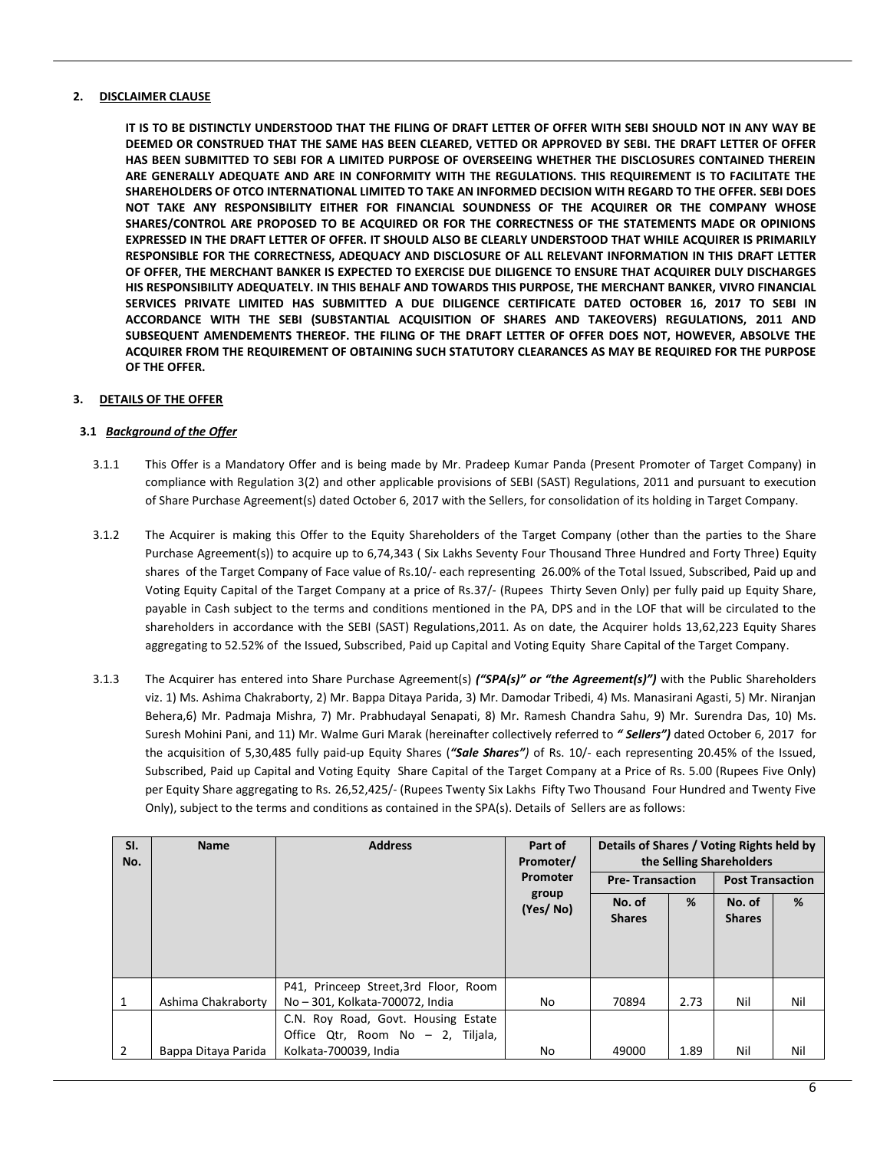## **2. DISCLAIMER CLAUSE**

**IT IS TO BE DISTINCTLY UNDERSTOOD THAT THE FILING OF DRAFT LETTER OF OFFER WITH SEBI SHOULD NOT IN ANY WAY BE DEEMED OR CONSTRUED THAT THE SAME HAS BEEN CLEARED, VETTED OR APPROVED BY SEBI. THE DRAFT LETTER OF OFFER HAS BEEN SUBMITTED TO SEBI FOR A LIMITED PURPOSE OF OVERSEEING WHETHER THE DISCLOSURES CONTAINED THEREIN ARE GENERALLY ADEQUATE AND ARE IN CONFORMITY WITH THE REGULATIONS. THIS REQUIREMENT IS TO FACILITATE THE SHAREHOLDERS OF OTCO INTERNATIONAL LIMITED TO TAKE AN INFORMED DECISION WITH REGARD TO THE OFFER. SEBI DOES NOT TAKE ANY RESPONSIBILITY EITHER FOR FINANCIAL SOUNDNESS OF THE ACQUIRER OR THE COMPANY WHOSE SHARES/CONTROL ARE PROPOSED TO BE ACQUIRED OR FOR THE CORRECTNESS OF THE STATEMENTS MADE OR OPINIONS EXPRESSED IN THE DRAFT LETTER OF OFFER. IT SHOULD ALSO BE CLEARLY UNDERSTOOD THAT WHILE ACQUIRER IS PRIMARILY RESPONSIBLE FOR THE CORRECTNESS, ADEQUACY AND DISCLOSURE OF ALL RELEVANT INFORMATION IN THIS DRAFT LETTER OF OFFER, THE MERCHANT BANKER IS EXPECTED TO EXERCISE DUE DILIGENCE TO ENSURE THAT ACQUIRER DULY DISCHARGES HIS RESPONSIBILITY ADEQUATELY. IN THIS BEHALF AND TOWARDS THIS PURPOSE, THE MERCHANT BANKER, VIVRO FINANCIAL SERVICES PRIVATE LIMITED HAS SUBMITTED A DUE DILIGENCE CERTIFICATE DATED OCTOBER 16, 2017 TO SEBI IN ACCORDANCE WITH THE SEBI (SUBSTANTIAL ACQUISITION OF SHARES AND TAKEOVERS) REGULATIONS, 2011 AND SUBSEQUENT AMENDEMENTS THEREOF. THE FILING OF THE DRAFT LETTER OF OFFER DOES NOT, HOWEVER, ABSOLVE THE ACQUIRER FROM THE REQUIREMENT OF OBTAINING SUCH STATUTORY CLEARANCES AS MAY BE REQUIRED FOR THE PURPOSE OF THE OFFER.**

## **3. DETAILS OF THE OFFER**

#### **3.1** *Background of the Offer*

- 3.1.1 This Offer is a Mandatory Offer and is being made by Mr. Pradeep Kumar Panda (Present Promoter of Target Company) in compliance with Regulation 3(2) and other applicable provisions of SEBI (SAST) Regulations, 2011 and pursuant to execution of Share Purchase Agreement(s) dated October 6, 2017 with the Sellers, for consolidation of its holding in Target Company.
- 3.1.2 The Acquirer is making this Offer to the Equity Shareholders of the Target Company (other than the parties to the Share Purchase Agreement(s)) to acquire up to 6,74,343 ( Six Lakhs Seventy Four Thousand Three Hundred and Forty Three) Equity shares of the Target Company of Face value of Rs.10/- each representing 26.00% of the Total Issued, Subscribed, Paid up and Voting Equity Capital of the Target Company at a price of Rs.37/- (Rupees Thirty Seven Only) per fully paid up Equity Share, payable in Cash subject to the terms and conditions mentioned in the PA, DPS and in the LOF that will be circulated to the shareholders in accordance with the SEBI (SAST) Regulations,2011. As on date, the Acquirer holds 13,62,223 Equity Shares aggregating to 52.52% of the Issued, Subscribed, Paid up Capital and Voting Equity Share Capital of the Target Company.
- 3.1.3 The Acquirer has entered into Share Purchase Agreement(s) *("SPA(s)" or "the Agreement(s)")* with the Public Shareholders viz. 1) Ms. Ashima Chakraborty, 2) Mr. Bappa Ditaya Parida, 3) Mr. Damodar Tribedi, 4) Ms. Manasirani Agasti, 5) Mr. Niranjan Behera,6) Mr. Padmaja Mishra, 7) Mr. Prabhudayal Senapati, 8) Mr. Ramesh Chandra Sahu, 9) Mr. Surendra Das, 10) Ms. Suresh Mohini Pani, and 11) Mr. Walme Guri Marak (hereinafter collectively referred to *" Sellers")* dated October 6, 2017 for the acquisition of 5,30,485 fully paid-up Equity Shares (*"Sale Shares")* of Rs. 10/- each representing 20.45% of the Issued, Subscribed, Paid up Capital and Voting Equity Share Capital of the Target Company at a Price of Rs. 5.00 (Rupees Five Only) per Equity Share aggregating to Rs. 26,52,425/- (Rupees Twenty Six Lakhs Fifty Two Thousand Four Hundred and Twenty Five Only), subject to the terms and conditions as contained in the SPA(s). Details of Sellers are as follows:

| SI.<br>No. | <b>Name</b>         | <b>Address</b>                        | Part of<br>Promoter/ | Details of Shares / Voting Rights held by<br>the Selling Shareholders |      |                         |     |
|------------|---------------------|---------------------------------------|----------------------|-----------------------------------------------------------------------|------|-------------------------|-----|
|            |                     |                                       | Promoter             | <b>Pre-Transaction</b>                                                |      | <b>Post Transaction</b> |     |
|            |                     |                                       | group<br>(Yes/No)    | No. of                                                                | %    | No. of                  | %   |
|            |                     |                                       |                      | <b>Shares</b>                                                         |      | <b>Shares</b>           |     |
|            |                     |                                       |                      |                                                                       |      |                         |     |
|            |                     |                                       |                      |                                                                       |      |                         |     |
|            |                     | P41, Princeep Street, 3rd Floor, Room |                      |                                                                       |      |                         |     |
| 1          | Ashima Chakraborty  | No - 301, Kolkata-700072, India       | No                   | 70894                                                                 | 2.73 | Nil                     | Nil |
|            |                     | C.N. Roy Road, Govt. Housing Estate   |                      |                                                                       |      |                         |     |
|            |                     | Office Qtr, Room No - 2, Tiljala,     |                      |                                                                       |      |                         |     |
|            | Bappa Ditaya Parida | Kolkata-700039, India                 | No                   | 49000                                                                 | 1.89 | Nil                     | Nil |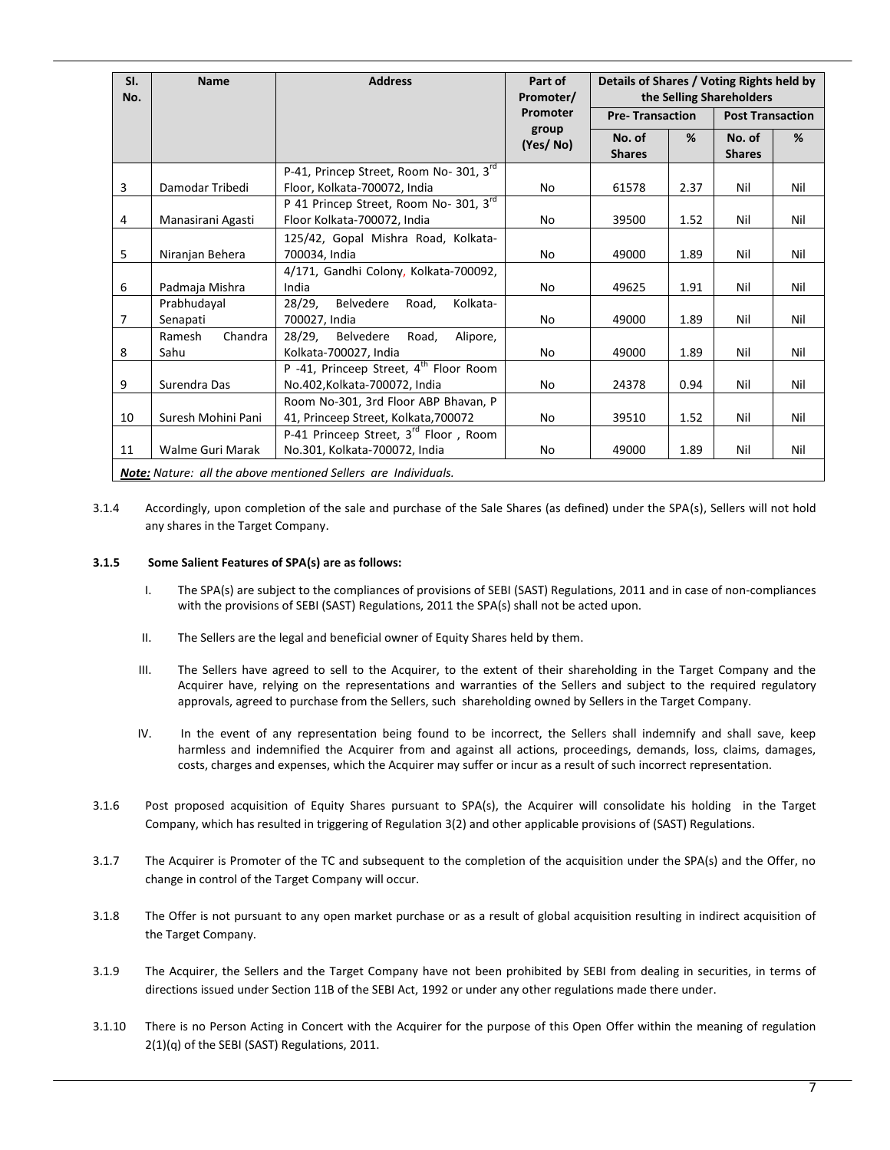| SI.<br>No.     | <b>Name</b>               | <b>Address</b>                                                                      | Part of<br>Promoter/ | Details of Shares / Voting Rights held by<br>the Selling Shareholders |      |                         |     |
|----------------|---------------------------|-------------------------------------------------------------------------------------|----------------------|-----------------------------------------------------------------------|------|-------------------------|-----|
|                |                           |                                                                                     | Promoter             | <b>Pre-Transaction</b>                                                |      | <b>Post Transaction</b> |     |
|                |                           |                                                                                     | group<br>(Yes/No)    | No. of<br><b>Shares</b>                                               | %    | No. of<br><b>Shares</b> | %   |
| 3              | Damodar Tribedi           | P-41, Princep Street, Room No- 301, 3rd<br>Floor, Kolkata-700072, India             | No                   | 61578                                                                 | 2.37 | Nil                     | Nil |
| 4              | Manasirani Agasti         | P 41 Princep Street, Room No- 301, 3rd<br>Floor Kolkata-700072, India               | No                   | 39500                                                                 | 1.52 | Nil                     | Nil |
| 5              | Niranjan Behera           | 125/42, Gopal Mishra Road, Kolkata-<br>700034, India                                | No                   | 49000                                                                 | 1.89 | Nil                     | Nil |
| 6              | Padmaja Mishra            | 4/171, Gandhi Colony, Kolkata-700092,<br>India                                      | No                   | 49625                                                                 | 1.91 | Nil                     | Nil |
| $\overline{7}$ | Prabhudayal<br>Senapati   | 28/29,<br>Belvedere<br>Kolkata-<br>Road,<br>700027, India                           | No                   | 49000                                                                 | 1.89 | Nil                     | Nil |
| 8              | Chandra<br>Ramesh<br>Sahu | $28/29$ ,<br>Belvedere<br>Road,<br>Alipore,<br>Kolkata-700027, India                | No                   | 49000                                                                 | 1.89 | Nil                     | Nil |
| 9              | Surendra Das              | P -41, Princeep Street, 4 <sup>th</sup> Floor Room<br>No.402, Kolkata-700072, India | No                   | 24378                                                                 | 0.94 | Nil                     | Nil |
| 10             | Suresh Mohini Pani        | Room No-301, 3rd Floor ABP Bhavan, P<br>41, Princeep Street, Kolkata, 700072        | No                   | 39510                                                                 | 1.52 | Nil                     | Nil |
| 11             | Walme Guri Marak          | P-41 Princeep Street, 3 <sup>rd</sup> Floor, Room<br>No.301, Kolkata-700072, India  | No                   | 49000                                                                 | 1.89 | Nil                     | Nil |
|                |                           | <b>Note:</b> Nature: all the above mentioned Sellers are Individuals.               |                      |                                                                       |      |                         |     |

3.1.4 Accordingly, upon completion of the sale and purchase of the Sale Shares (as defined) under the SPA(s), Sellers will not hold any shares in the Target Company.

#### **3.1.5 Some Salient Features of SPA(s) are as follows:**

- I. The SPA(s) are subject to the compliances of provisions of SEBI (SAST) Regulations, 2011 and in case of non-compliances with the provisions of SEBI (SAST) Regulations, 2011 the SPA(s) shall not be acted upon.
- II. The Sellers are the legal and beneficial owner of Equity Shares held by them.
- III. The Sellers have agreed to sell to the Acquirer, to the extent of their shareholding in the Target Company and the Acquirer have, relying on the representations and warranties of the Sellers and subject to the required regulatory approvals, agreed to purchase from the Sellers, such shareholding owned by Sellers in the Target Company.
- IV. In the event of any representation being found to be incorrect, the Sellers shall indemnify and shall save, keep harmless and indemnified the Acquirer from and against all actions, proceedings, demands, loss, claims, damages, costs, charges and expenses, which the Acquirer may suffer or incur as a result of such incorrect representation.
- 3.1.6 Post proposed acquisition of Equity Shares pursuant to SPA(s), the Acquirer will consolidate his holding in the Target Company, which has resulted in triggering of Regulation 3(2) and other applicable provisions of (SAST) Regulations.
- 3.1.7 The Acquirer is Promoter of the TC and subsequent to the completion of the acquisition under the SPA(s) and the Offer, no change in control of the Target Company will occur.
- 3.1.8 The Offer is not pursuant to any open market purchase or as a result of global acquisition resulting in indirect acquisition of the Target Company.
- 3.1.9 The Acquirer, the Sellers and the Target Company have not been prohibited by SEBI from dealing in securities, in terms of directions issued under Section 11B of the SEBI Act, 1992 or under any other regulations made there under.
- 3.1.10 There is no Person Acting in Concert with the Acquirer for the purpose of this Open Offer within the meaning of regulation 2(1)(q) of the SEBI (SAST) Regulations, 2011.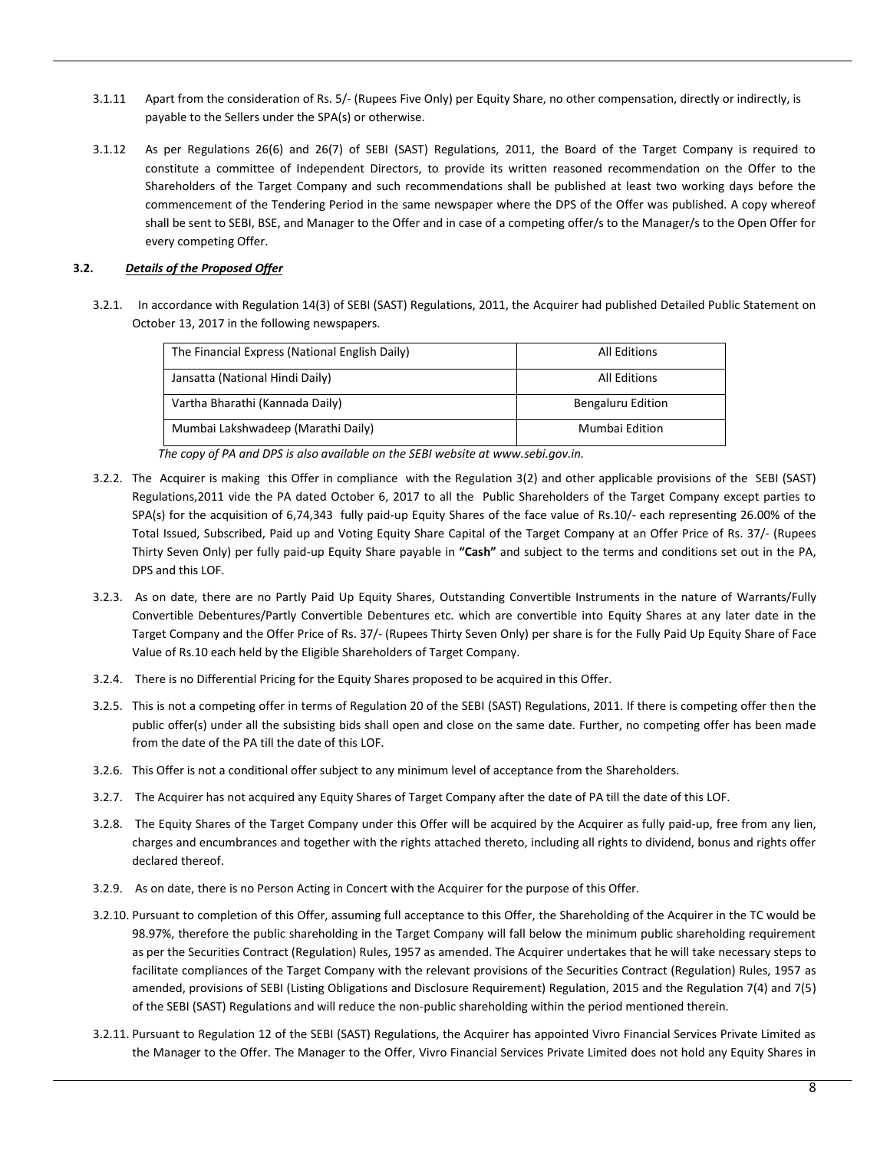- 3.1.11 Apart from the consideration of Rs. 5/- (Rupees Five Only) per Equity Share, no other compensation, directly or indirectly, is payable to the Sellers under the SPA(s) or otherwise.
- 3.1.12 As per Regulations 26(6) and 26(7) of SEBI (SAST) Regulations, 2011, the Board of the Target Company is required to constitute a committee of Independent Directors, to provide its written reasoned recommendation on the Offer to the Shareholders of the Target Company and such recommendations shall be published at least two working days before the commencement of the Tendering Period in the same newspaper where the DPS of the Offer was published. A copy whereof shall be sent to SEBI, BSE, and Manager to the Offer and in case of a competing offer/s to the Manager/s to the Open Offer for every competing Offer.

## **3.2.** *Details of the Proposed Offer*

3.2.1. In accordance with Regulation 14(3) of SEBI (SAST) Regulations, 2011, the Acquirer had published Detailed Public Statement on October 13, 2017 in the following newspapers.

| The Financial Express (National English Daily) | All Editions      |
|------------------------------------------------|-------------------|
| Jansatta (National Hindi Daily)                | All Editions      |
| Vartha Bharathi (Kannada Daily)                | Bengaluru Edition |
| Mumbai Lakshwadeep (Marathi Daily)             | Mumbai Edition    |

*The copy of PA and DPS is also available on the SEBI website a[t www.sebi.gov.in.](http://www.sebi.gov.in/)* 

- 3.2.2. The Acquirer is making this Offer in compliance with the Regulation 3(2) and other applicable provisions of the SEBI (SAST) Regulations,2011 vide the PA dated October 6, 2017 to all the Public Shareholders of the Target Company except parties to SPA(s) for the acquisition of 6,74,343 fully paid-up Equity Shares of the face value of Rs.10/- each representing 26.00% of the Total Issued, Subscribed, Paid up and Voting Equity Share Capital of the Target Company at an Offer Price of Rs. 37/- (Rupees Thirty Seven Only) per fully paid-up Equity Share payable in **"Cash"** and subject to the terms and conditions set out in the PA, DPS and this LOF.
- 3.2.3. As on date, there are no Partly Paid Up Equity Shares, Outstanding Convertible Instruments in the nature of Warrants/Fully Convertible Debentures/Partly Convertible Debentures etc. which are convertible into Equity Shares at any later date in the Target Company and the Offer Price of Rs. 37/- (Rupees Thirty Seven Only) per share is for the Fully Paid Up Equity Share of Face Value of Rs.10 each held by the Eligible Shareholders of Target Company.
- 3.2.4. There is no Differential Pricing for the Equity Shares proposed to be acquired in this Offer.
- 3.2.5. This is not a competing offer in terms of Regulation 20 of the SEBI (SAST) Regulations, 2011. If there is competing offer then the public offer(s) under all the subsisting bids shall open and close on the same date. Further, no competing offer has been made from the date of the PA till the date of this LOF.
- 3.2.6. This Offer is not a conditional offer subject to any minimum level of acceptance from the Shareholders.
- 3.2.7. The Acquirer has not acquired any Equity Shares of Target Company after the date of PA till the date of this LOF.
- 3.2.8. The Equity Shares of the Target Company under this Offer will be acquired by the Acquirer as fully paid-up, free from any lien, charges and encumbrances and together with the rights attached thereto, including all rights to dividend, bonus and rights offer declared thereof.
- 3.2.9. As on date, there is no Person Acting in Concert with the Acquirer for the purpose of this Offer.
- 3.2.10. Pursuant to completion of this Offer, assuming full acceptance to this Offer, the Shareholding of the Acquirer in the TC would be 98.97%, therefore the public shareholding in the Target Company will fall below the minimum public shareholding requirement as per the Securities Contract (Regulation) Rules, 1957 as amended. The Acquirer undertakes that he will take necessary steps to facilitate compliances of the Target Company with the relevant provisions of the Securities Contract (Regulation) Rules, 1957 as amended, provisions of SEBI (Listing Obligations and Disclosure Requirement) Regulation, 2015 and the Regulation 7(4) and 7(5) of the SEBI (SAST) Regulations and will reduce the non-public shareholding within the period mentioned therein.
- 3.2.11. Pursuant to Regulation 12 of the SEBI (SAST) Regulations, the Acquirer has appointed Vivro Financial Services Private Limited as the Manager to the Offer. The Manager to the Offer, Vivro Financial Services Private Limited does not hold any Equity Shares in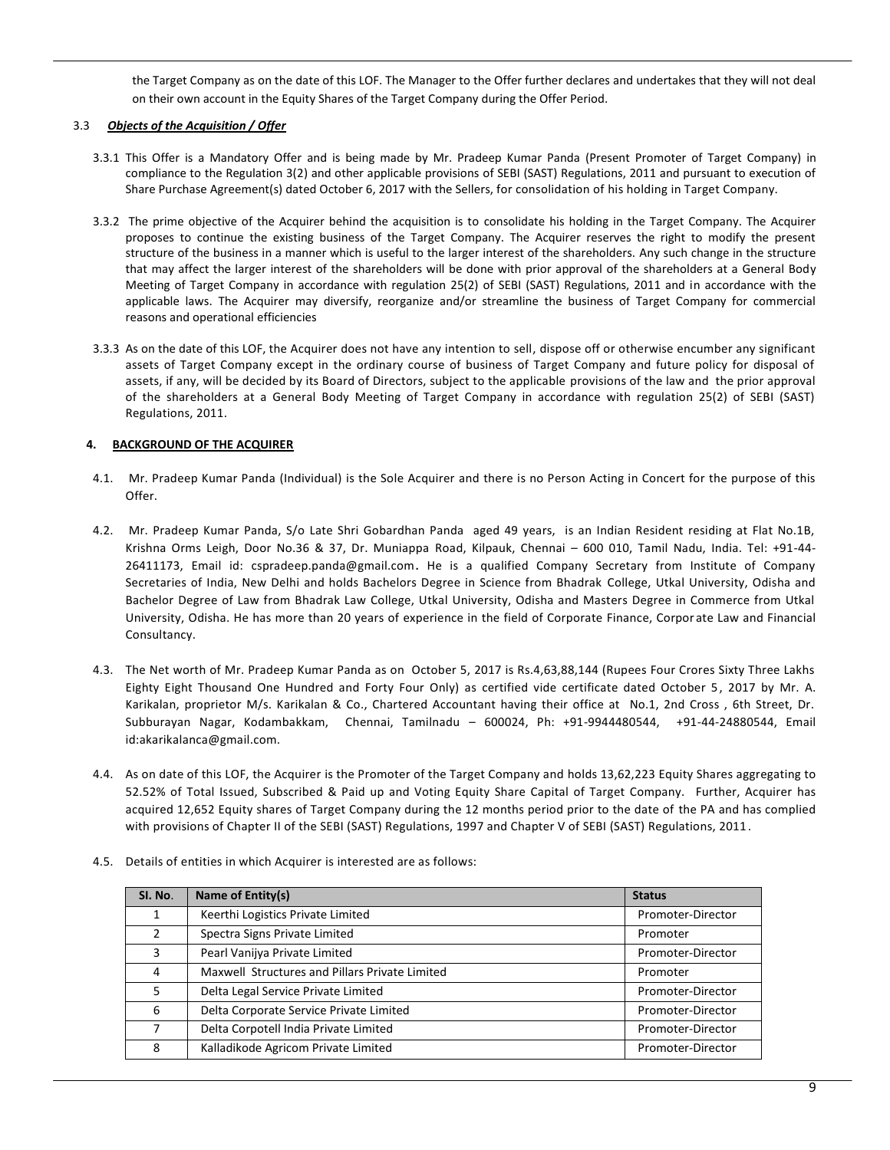the Target Company as on the date of this LOF. The Manager to the Offer further declares and undertakes that they will not deal on their own account in the Equity Shares of the Target Company during the Offer Period.

# 3.3 *Objects of the Acquisition / Offer*

- 3.3.1 This Offer is a Mandatory Offer and is being made by Mr. Pradeep Kumar Panda (Present Promoter of Target Company) in compliance to the Regulation 3(2) and other applicable provisions of SEBI (SAST) Regulations, 2011 and pursuant to execution of Share Purchase Agreement(s) dated October 6, 2017 with the Sellers, for consolidation of his holding in Target Company.
- 3.3.2 The prime objective of the Acquirer behind the acquisition is to consolidate his holding in the Target Company. The Acquirer proposes to continue the existing business of the Target Company. The Acquirer reserves the right to modify the present structure of the business in a manner which is useful to the larger interest of the shareholders. Any such change in the structure that may affect the larger interest of the shareholders will be done with prior approval of the shareholders at a General Body Meeting of Target Company in accordance with regulation 25(2) of SEBI (SAST) Regulations, 2011 and in accordance with the applicable laws. The Acquirer may diversify, reorganize and/or streamline the business of Target Company for commercial reasons and operational efficiencies
- 3.3.3 As on the date of this LOF, the Acquirer does not have any intention to sell, dispose off or otherwise encumber any significant assets of Target Company except in the ordinary course of business of Target Company and future policy for disposal of assets, if any, will be decided by its Board of Directors, subject to the applicable provisions of the law and the prior approval of the shareholders at a General Body Meeting of Target Company in accordance with regulation 25(2) of SEBI (SAST) Regulations, 2011.

# **4. BACKGROUND OF THE ACQUIRER**

- 4.1. Mr. Pradeep Kumar Panda (Individual) is the Sole Acquirer and there is no Person Acting in Concert for the purpose of this Offer.
- 4.2. Mr. Pradeep Kumar Panda, S/o Late Shri Gobardhan Panda aged 49 years, is an Indian Resident residing at Flat No.1B, Krishna Orms Leigh, Door No.36 & 37, Dr. Muniappa Road, Kilpauk, Chennai – 600 010, Tamil Nadu, India. Tel: +91-44- 26411173, Email id: cspradeep.panda@gmail.com. He is a qualified Company Secretary from Institute of Company Secretaries of India, New Delhi and holds Bachelors Degree in Science from Bhadrak College, Utkal University, Odisha and Bachelor Degree of Law from Bhadrak Law College, Utkal University, Odisha and Masters Degree in Commerce from Utkal University, Odisha. He has more than 20 years of experience in the field of Corporate Finance, Corpor ate Law and Financial Consultancy.
- 4.3. The Net worth of Mr. Pradeep Kumar Panda as on October 5, 2017 is Rs.4,63,88,144 (Rupees Four Crores Sixty Three Lakhs Eighty Eight Thousand One Hundred and Forty Four Only) as certified vide certificate dated October 5, 2017 by Mr. A. Karikalan, proprietor M/s. Karikalan & Co., Chartered Accountant having their office at No.1, 2nd Cross , 6th Street, Dr. Subburayan Nagar, Kodambakkam, Chennai, Tamilnadu – 600024, Ph: +91-9944480544, +91-44-24880544, Email id:akarikalanca@gmail.com.
- 4.4. As on date of this LOF, the Acquirer is the Promoter of the Target Company and holds 13,62,223 Equity Shares aggregating to 52.52% of Total Issued, Subscribed & Paid up and Voting Equity Share Capital of Target Company. Further, Acquirer has acquired 12,652 Equity shares of Target Company during the 12 months period prior to the date of the PA and has complied with provisions of Chapter II of the SEBI (SAST) Regulations, 1997 and Chapter V of SEBI (SAST) Regulations, 2011.

| SI. No.       | Name of Entity(s)                              | <b>Status</b>     |
|---------------|------------------------------------------------|-------------------|
|               | Keerthi Logistics Private Limited              | Promoter-Director |
| $\mathcal{P}$ | Spectra Signs Private Limited                  | Promoter          |
| 3             | Pearl Vanijya Private Limited                  | Promoter-Director |
| 4             | Maxwell Structures and Pillars Private Limited | Promoter          |
| 5             | Delta Legal Service Private Limited            | Promoter-Director |
| 6             | Delta Corporate Service Private Limited        | Promoter-Director |
| 7             | Delta Corpotell India Private Limited          | Promoter-Director |
| 8             | Kalladikode Agricom Private Limited            | Promoter-Director |

4.5. Details of entities in which Acquirer is interested are as follows: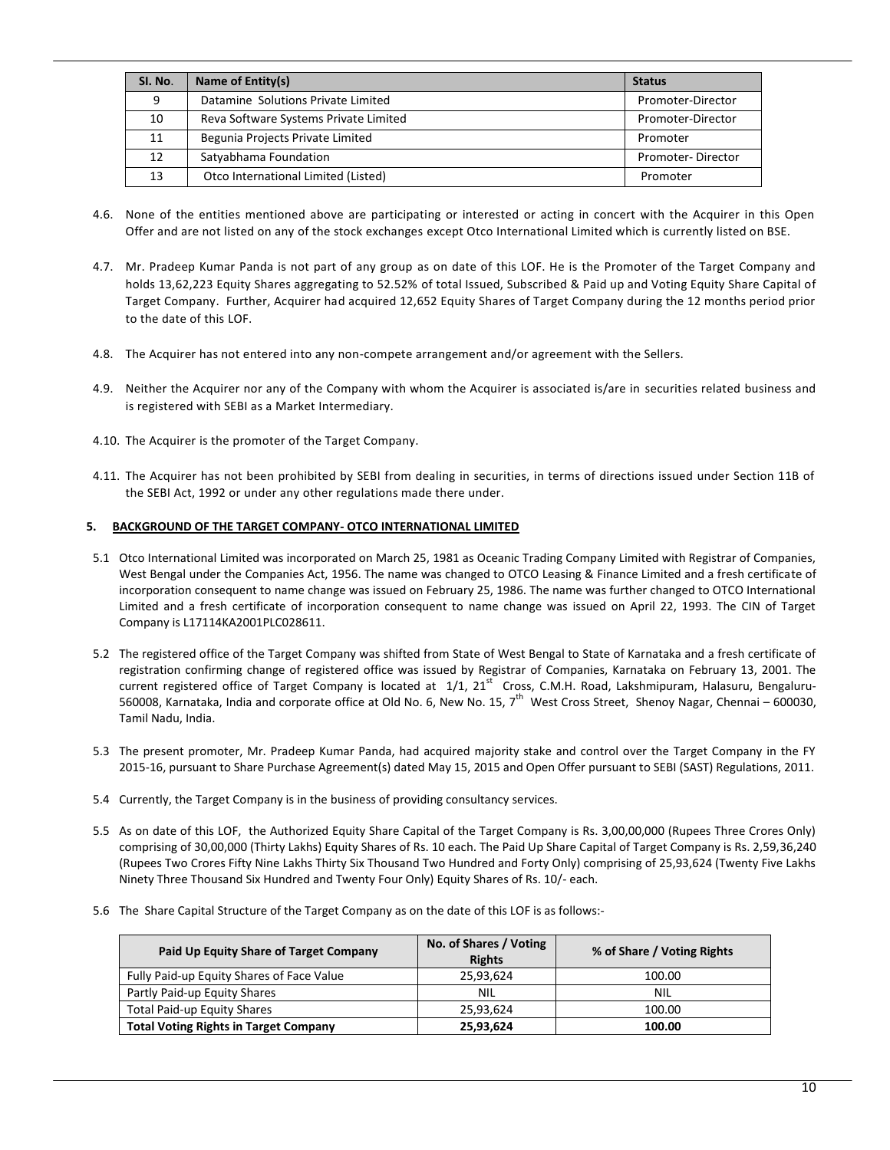| SI. No.         | Name of Entity(s)                     | <b>Status</b>     |
|-----------------|---------------------------------------|-------------------|
| 9               | Datamine Solutions Private Limited    | Promoter-Director |
| 10              | Reva Software Systems Private Limited | Promoter-Director |
| 11              | Begunia Projects Private Limited      | Promoter          |
| 12 <sup>1</sup> | Satyabhama Foundation                 | Promoter-Director |
| 13              | Otco International Limited (Listed)   | Promoter          |

- 4.6. None of the entities mentioned above are participating or interested or acting in concert with the Acquirer in this Open Offer and are not listed on any of the stock exchanges except Otco International Limited which is currently listed on BSE.
- 4.7. Mr. Pradeep Kumar Panda is not part of any group as on date of this LOF. He is the Promoter of the Target Company and holds 13,62,223 Equity Shares aggregating to 52.52% of total Issued, Subscribed & Paid up and Voting Equity Share Capital of Target Company. Further, Acquirer had acquired 12,652 Equity Shares of Target Company during the 12 months period prior to the date of this LOF.
- 4.8. The Acquirer has not entered into any non-compete arrangement and/or agreement with the Sellers.
- 4.9. Neither the Acquirer nor any of the Company with whom the Acquirer is associated is/are in securities related business and is registered with SEBI as a Market Intermediary.
- 4.10. The Acquirer is the promoter of the Target Company.
- 4.11. The Acquirer has not been prohibited by SEBI from dealing in securities, in terms of directions issued under Section 11B of the SEBI Act, 1992 or under any other regulations made there under.

## **5. BACKGROUND OF THE TARGET COMPANY- OTCO INTERNATIONAL LIMITED**

- 5.1 Otco International Limited was incorporated on March 25, 1981 as Oceanic Trading Company Limited with Registrar of Companies, West Bengal under the Companies Act, 1956. The name was changed to OTCO Leasing & Finance Limited and a fresh certificate of incorporation consequent to name change was issued on February 25, 1986. The name was further changed to OTCO International Limited and a fresh certificate of incorporation consequent to name change was issued on April 22, 1993. The CIN of Target Company is L17114KA2001PLC028611.
- 5.2 The registered office of the Target Company was shifted from State of West Bengal to State of Karnataka and a fresh certificate of registration confirming change of registered office was issued by Registrar of Companies, Karnataka on February 13, 2001. The current registered office of Target Company is located at  $1/1$ ,  $21^{st}$  Cross, C.M.H. Road, Lakshmipuram, Halasuru, Bengaluru-560008, Karnataka, India and corporate office at Old No. 6, New No. 15, 7<sup>th</sup> West Cross Street, Shenoy Nagar, Chennai – 600030, Tamil Nadu, India.
- 5.3 The present promoter, Mr. Pradeep Kumar Panda, had acquired majority stake and control over the Target Company in the FY 2015-16, pursuant to Share Purchase Agreement(s) dated May 15, 2015 and Open Offer pursuant to SEBI (SAST) Regulations, 2011.
- 5.4 Currently, the Target Company is in the business of providing consultancy services.
- 5.5 As on date of this LOF, the Authorized Equity Share Capital of the Target Company is Rs. 3,00,00,000 (Rupees Three Crores Only) comprising of 30,00,000 (Thirty Lakhs) Equity Shares of Rs. 10 each. The Paid Up Share Capital of Target Company is Rs. 2,59,36,240 (Rupees Two Crores Fifty Nine Lakhs Thirty Six Thousand Two Hundred and Forty Only) comprising of 25,93,624 (Twenty Five Lakhs Ninety Three Thousand Six Hundred and Twenty Four Only) Equity Shares of Rs. 10/- each.
- 5.6 The Share Capital Structure of the Target Company as on the date of this LOF is as follows:-

| Paid Up Equity Share of Target Company       | No. of Shares / Voting<br><b>Rights</b> | % of Share / Voting Rights |
|----------------------------------------------|-----------------------------------------|----------------------------|
| Fully Paid-up Equity Shares of Face Value    | 25,93,624                               | 100.00                     |
| Partly Paid-up Equity Shares                 | NIL                                     | NIL                        |
| Total Paid-up Equity Shares                  | 25,93,624                               | 100.00                     |
| <b>Total Voting Rights in Target Company</b> | 25,93,624                               | 100.00                     |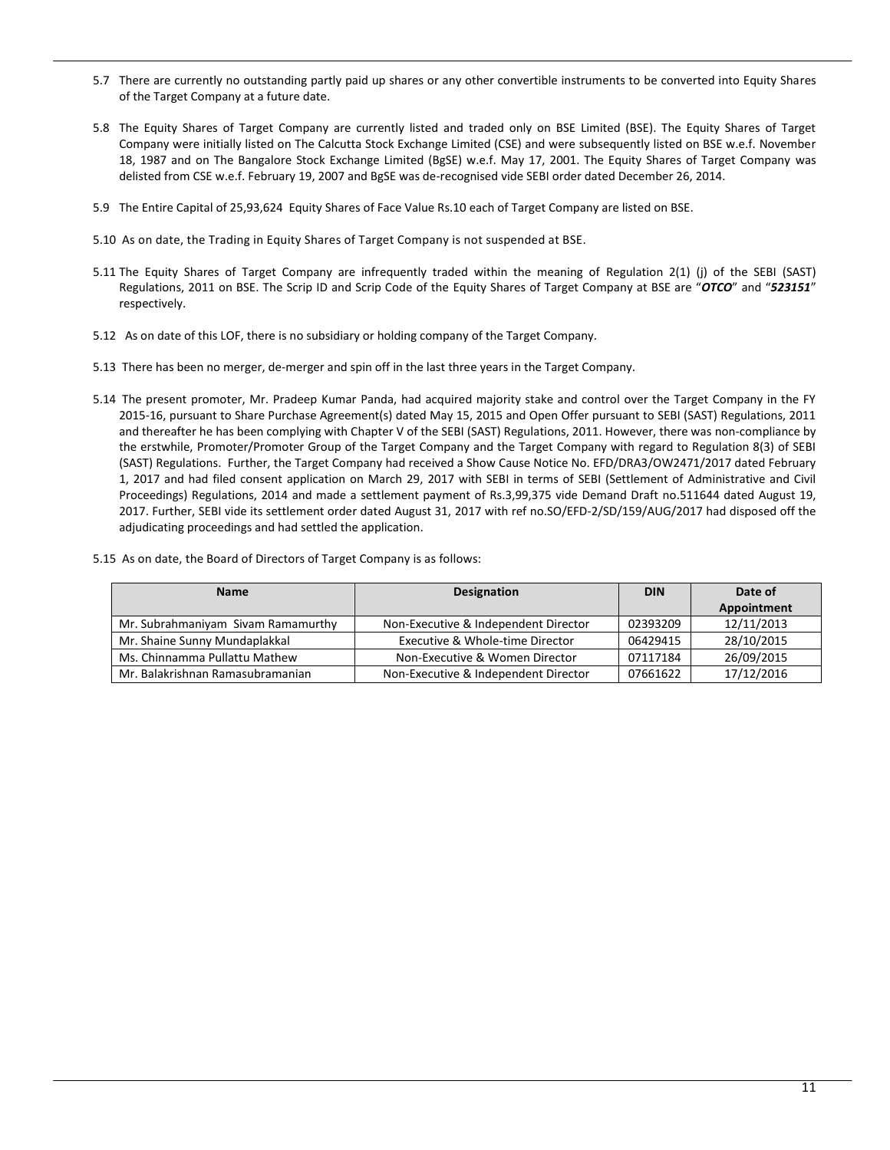- 5.7 There are currently no outstanding partly paid up shares or any other convertible instruments to be converted into Equity Shares of the Target Company at a future date.
- 5.8 The Equity Shares of Target Company are currently listed and traded only on BSE Limited (BSE). The Equity Shares of Target Company were initially listed on The Calcutta Stock Exchange Limited (CSE) and were subsequently listed on BSE w.e.f. November 18, 1987 and on The Bangalore Stock Exchange Limited (BgSE) w.e.f. May 17, 2001. The Equity Shares of Target Company was delisted from CSE w.e.f. February 19, 2007 and BgSE was de-recognised vide SEBI order dated December 26, 2014.
- 5.9 The Entire Capital of 25,93,624 Equity Shares of Face Value Rs.10 each of Target Company are listed on BSE.
- 5.10 As on date, the Trading in Equity Shares of Target Company is not suspended at BSE.
- 5.11 The Equity Shares of Target Company are infrequently traded within the meaning of Regulation 2(1) (j) of the SEBI (SAST) Regulations, 2011 on BSE. The Scrip ID and Scrip Code of the Equity Shares of Target Company at BSE are "*OTCO*" and "*523151*" respectively.
- 5.12 As on date of this LOF, there is no subsidiary or holding company of the Target Company.
- 5.13 There has been no merger, de-merger and spin off in the last three years in the Target Company.
- 5.14 The present promoter, Mr. Pradeep Kumar Panda, had acquired majority stake and control over the Target Company in the FY 2015-16, pursuant to Share Purchase Agreement(s) dated May 15, 2015 and Open Offer pursuant to SEBI (SAST) Regulations, 2011 and thereafter he has been complying with Chapter V of the SEBI (SAST) Regulations, 2011. However, there was non-compliance by the erstwhile, Promoter/Promoter Group of the Target Company and the Target Company with regard to Regulation 8(3) of SEBI (SAST) Regulations. Further, the Target Company had received a Show Cause Notice No. EFD/DRA3/OW2471/2017 dated February 1, 2017 and had filed consent application on March 29, 2017 with SEBI in terms of SEBI (Settlement of Administrative and Civil Proceedings) Regulations, 2014 and made a settlement payment of Rs.3,99,375 vide Demand Draft no.511644 dated August 19, 2017. Further, SEBI vide its settlement order dated August 31, 2017 with ref no.SO/EFD-2/SD/159/AUG/2017 had disposed off the adjudicating proceedings and had settled the application.
- 5.15 As on date, the Board of Directors of Target Company is as follows:

| <b>Name</b>                        | Designation                          | <b>DIN</b> | Date of     |
|------------------------------------|--------------------------------------|------------|-------------|
|                                    |                                      |            | Appointment |
| Mr. Subrahmaniyam Sivam Ramamurthy | Non-Executive & Independent Director | 02393209   | 12/11/2013  |
| Mr. Shaine Sunny Mundaplakkal      | Executive & Whole-time Director      | 06429415   | 28/10/2015  |
| Ms. Chinnamma Pullattu Mathew      | Non-Executive & Women Director       | 07117184   | 26/09/2015  |
| Mr. Balakrishnan Ramasubramanian   | Non-Executive & Independent Director | 07661622   | 17/12/2016  |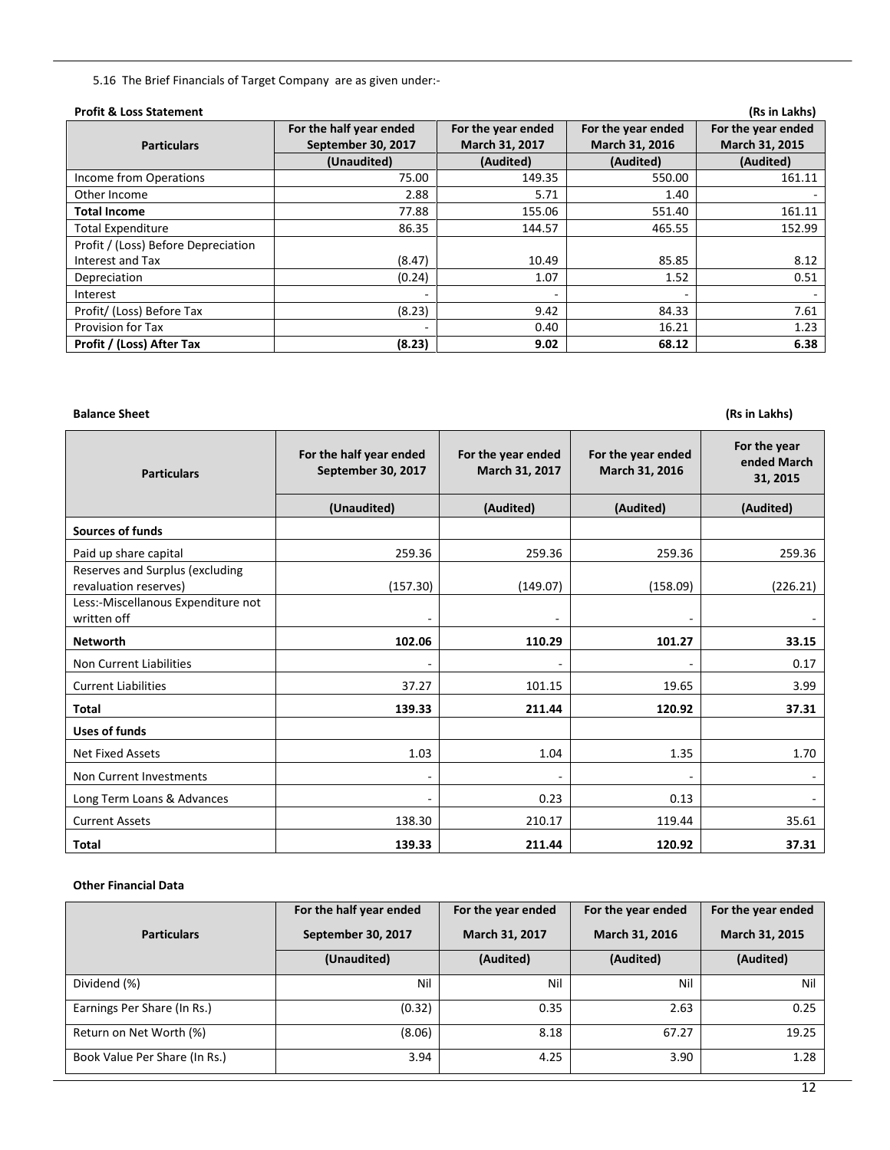5.16 The Brief Financials of Target Company are as given under:-

| <b>Profit &amp; Loss Statement</b>  |                                               |                                      |                                      | (Rs in Lakhs)                        |
|-------------------------------------|-----------------------------------------------|--------------------------------------|--------------------------------------|--------------------------------------|
| <b>Particulars</b>                  | For the half year ended<br>September 30, 2017 | For the year ended<br>March 31, 2017 | For the year ended<br>March 31, 2016 | For the year ended<br>March 31, 2015 |
|                                     | (Unaudited)                                   | (Audited)                            | (Audited)                            | (Audited)                            |
| Income from Operations              | 75.00                                         | 149.35                               | 550.00                               | 161.11                               |
| Other Income                        | 2.88                                          | 5.71                                 | 1.40                                 |                                      |
| <b>Total Income</b>                 | 77.88                                         | 155.06                               | 551.40                               | 161.11                               |
| <b>Total Expenditure</b>            | 86.35                                         | 144.57                               | 465.55                               | 152.99                               |
| Profit / (Loss) Before Depreciation |                                               |                                      |                                      |                                      |
| Interest and Tax                    | (8.47)                                        | 10.49                                | 85.85                                | 8.12                                 |
| Depreciation                        | (0.24)                                        | 1.07                                 | 1.52                                 | 0.51                                 |
| Interest                            |                                               | ۰                                    |                                      |                                      |
| Profit/ (Loss) Before Tax           | (8.23)                                        | 9.42                                 | 84.33                                | 7.61                                 |
| <b>Provision for Tax</b>            |                                               | 0.40                                 | 16.21                                | 1.23                                 |
| <b>Profit / (Loss) After Tax</b>    | (8.23)                                        | 9.02                                 | 68.12                                | 6.38                                 |

**Balance Sheet** (Rs in Lakhs)

| <b>Particulars</b>                                       | For the half year ended<br>September 30, 2017 | For the year ended<br>March 31, 2017 | For the year ended<br>March 31, 2016 | For the year<br>ended March<br>31, 2015 |  |
|----------------------------------------------------------|-----------------------------------------------|--------------------------------------|--------------------------------------|-----------------------------------------|--|
|                                                          | (Unaudited)                                   | (Audited)                            | (Audited)                            | (Audited)                               |  |
| <b>Sources of funds</b>                                  |                                               |                                      |                                      |                                         |  |
| Paid up share capital                                    | 259.36                                        | 259.36                               | 259.36                               | 259.36                                  |  |
| Reserves and Surplus (excluding<br>revaluation reserves) | (157.30)                                      | (149.07)                             | (158.09)                             | (226.21)                                |  |
| Less:-Miscellanous Expenditure not<br>written off        |                                               | ۰                                    |                                      |                                         |  |
| <b>Networth</b>                                          | 102.06                                        | 110.29                               | 101.27                               | 33.15                                   |  |
| Non Current Liabilities                                  |                                               |                                      |                                      | 0.17                                    |  |
| <b>Current Liabilities</b>                               | 37.27                                         | 101.15                               | 19.65                                | 3.99                                    |  |
| <b>Total</b>                                             | 139.33                                        | 211.44                               | 120.92                               | 37.31                                   |  |
| <b>Uses of funds</b>                                     |                                               |                                      |                                      |                                         |  |
| <b>Net Fixed Assets</b>                                  | 1.03                                          | 1.04                                 | 1.35                                 | 1.70                                    |  |
| Non Current Investments                                  | -                                             |                                      |                                      |                                         |  |
| Long Term Loans & Advances                               |                                               | 0.23                                 | 0.13                                 |                                         |  |
| <b>Current Assets</b>                                    | 138.30                                        | 210.17                               | 119.44                               | 35.61                                   |  |
| Total                                                    | 139.33                                        | 211.44                               | 120.92                               | 37.31                                   |  |

## **Other Financial Data**

|                               | For the half year ended | For the year ended | For the year ended | For the year ended |  |
|-------------------------------|-------------------------|--------------------|--------------------|--------------------|--|
| <b>Particulars</b>            | September 30, 2017      | March 31, 2017     | March 31, 2016     | March 31, 2015     |  |
|                               | (Unaudited)             | (Audited)          | (Audited)          | (Audited)          |  |
| Dividend (%)                  | Nil                     | Nil                | Nil                | Nil                |  |
| Earnings Per Share (In Rs.)   | (0.32)                  | 0.35               | 2.63               | 0.25               |  |
| Return on Net Worth (%)       | (8.06)                  | 8.18               | 67.27              | 19.25              |  |
| Book Value Per Share (In Rs.) | 3.94                    | 4.25               | 3.90               | 1.28               |  |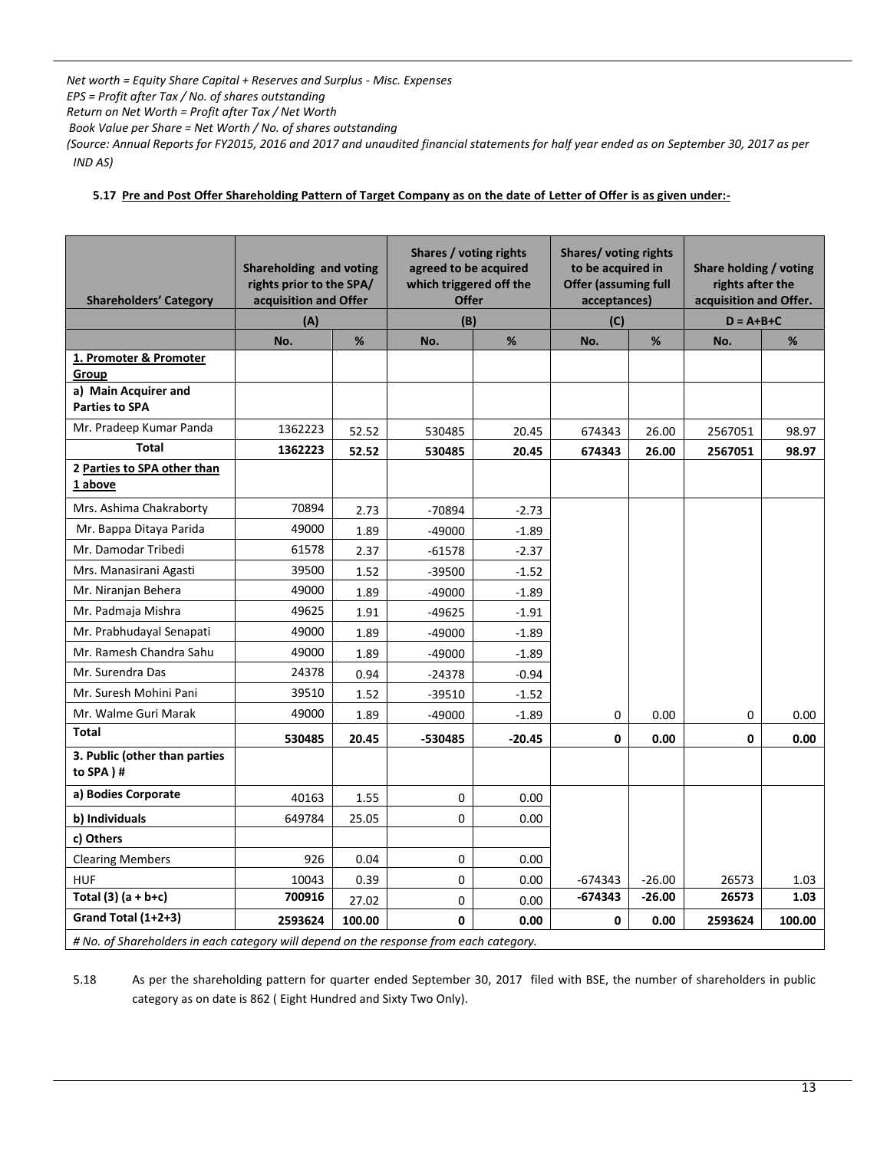*Net worth = Equity Share Capital + Reserves and Surplus - Misc. Expenses* 

*EPS = Profit after Tax / No. of shares outstanding*

*Return on Net Worth = Profit after Tax / Net Worth*

 *Book Value per Share = Net Worth / No. of shares outstanding*

*(Source: Annual Reports for FY2015, 2016 and 2017 and unaudited financial statements for half year ended as on September 30, 2017 as per IND AS)* 

**5.17 Pre and Post Offer Shareholding Pattern of Target Company as on the date of Letter of Offer is as given under:-**

| <b>Shareholders' Category</b>                                                          | Shareholding and voting<br>rights prior to the SPA/<br>acquisition and Offer<br>(A) |        | Shares / voting rights<br>agreed to be acquired<br>which triggered off the<br><b>Offer</b><br>(B) |          | Shares/voting rights<br>to be acquired in<br><b>Offer (assuming full</b><br>acceptances)<br>(C) |          | Share holding / voting<br>rights after the<br>acquisition and Offer.<br>$D = A + B + C$ |        |
|----------------------------------------------------------------------------------------|-------------------------------------------------------------------------------------|--------|---------------------------------------------------------------------------------------------------|----------|-------------------------------------------------------------------------------------------------|----------|-----------------------------------------------------------------------------------------|--------|
|                                                                                        |                                                                                     | %      |                                                                                                   |          |                                                                                                 |          |                                                                                         |        |
| 1. Promoter & Promoter<br>Group                                                        | No.                                                                                 |        | No.                                                                                               | $\%$     | No.                                                                                             | %        | No.                                                                                     | %      |
| a) Main Acquirer and<br><b>Parties to SPA</b>                                          |                                                                                     |        |                                                                                                   |          |                                                                                                 |          |                                                                                         |        |
| Mr. Pradeep Kumar Panda                                                                | 1362223                                                                             | 52.52  | 530485                                                                                            | 20.45    | 674343                                                                                          | 26.00    | 2567051                                                                                 | 98.97  |
| <b>Total</b>                                                                           | 1362223                                                                             | 52.52  | 530485                                                                                            | 20.45    | 674343                                                                                          | 26.00    | 2567051                                                                                 | 98.97  |
| 2 Parties to SPA other than<br>1 above                                                 |                                                                                     |        |                                                                                                   |          |                                                                                                 |          |                                                                                         |        |
| Mrs. Ashima Chakraborty                                                                | 70894                                                                               | 2.73   | -70894                                                                                            | $-2.73$  |                                                                                                 |          |                                                                                         |        |
| Mr. Bappa Ditaya Parida                                                                | 49000                                                                               | 1.89   | $-49000$                                                                                          | $-1.89$  |                                                                                                 |          |                                                                                         |        |
| Mr. Damodar Tribedi                                                                    | 61578                                                                               | 2.37   | $-61578$                                                                                          | $-2.37$  |                                                                                                 |          |                                                                                         |        |
| Mrs. Manasirani Agasti                                                                 | 39500                                                                               | 1.52   | $-39500$                                                                                          | $-1.52$  |                                                                                                 |          |                                                                                         |        |
| Mr. Niranjan Behera                                                                    | 49000                                                                               | 1.89   | $-49000$                                                                                          | $-1.89$  |                                                                                                 |          |                                                                                         |        |
| Mr. Padmaja Mishra                                                                     | 49625                                                                               | 1.91   | $-49625$                                                                                          | $-1.91$  |                                                                                                 |          |                                                                                         |        |
| Mr. Prabhudayal Senapati                                                               | 49000                                                                               | 1.89   | $-49000$                                                                                          | $-1.89$  |                                                                                                 |          |                                                                                         |        |
| Mr. Ramesh Chandra Sahu                                                                | 49000                                                                               | 1.89   | $-49000$                                                                                          | $-1.89$  |                                                                                                 |          |                                                                                         |        |
| Mr. Surendra Das                                                                       | 24378                                                                               | 0.94   | $-24378$                                                                                          | $-0.94$  |                                                                                                 |          |                                                                                         |        |
| Mr. Suresh Mohini Pani                                                                 | 39510                                                                               | 1.52   | $-39510$                                                                                          | $-1.52$  |                                                                                                 |          |                                                                                         |        |
| Mr. Walme Guri Marak                                                                   | 49000                                                                               | 1.89   | $-49000$                                                                                          | $-1.89$  | 0                                                                                               | 0.00     | 0                                                                                       | 0.00   |
| Total                                                                                  | 530485                                                                              | 20.45  | -530485                                                                                           | $-20.45$ | 0                                                                                               | 0.00     | 0                                                                                       | 0.00   |
| 3. Public (other than parties<br>to SPA)#                                              |                                                                                     |        |                                                                                                   |          |                                                                                                 |          |                                                                                         |        |
| a) Bodies Corporate                                                                    | 40163                                                                               | 1.55   | 0                                                                                                 | 0.00     |                                                                                                 |          |                                                                                         |        |
| b) Individuals                                                                         | 649784                                                                              | 25.05  | 0                                                                                                 | 0.00     |                                                                                                 |          |                                                                                         |        |
| c) Others                                                                              |                                                                                     |        |                                                                                                   |          |                                                                                                 |          |                                                                                         |        |
| <b>Clearing Members</b>                                                                | 926                                                                                 | 0.04   | 0                                                                                                 | 0.00     |                                                                                                 |          |                                                                                         |        |
| <b>HUF</b>                                                                             | 10043                                                                               | 0.39   | 0                                                                                                 | 0.00     | -674343                                                                                         | $-26.00$ | 26573                                                                                   | 1.03   |
| Total $(3)$ $(a + b+c)$                                                                | 700916                                                                              | 27.02  | 0                                                                                                 | 0.00     | $-674343$                                                                                       | $-26.00$ | 26573                                                                                   | 1.03   |
| Grand Total (1+2+3)                                                                    | 2593624                                                                             | 100.00 | $\mathbf{0}$                                                                                      | 0.00     | $\mathbf 0$                                                                                     | 0.00     | 2593624                                                                                 | 100.00 |
| # No. of Shareholders in each category will depend on the response from each category. |                                                                                     |        |                                                                                                   |          |                                                                                                 |          |                                                                                         |        |

5.18 As per the shareholding pattern for quarter ended September 30, 2017 filed with BSE, the number of shareholders in public category as on date is 862 ( Eight Hundred and Sixty Two Only).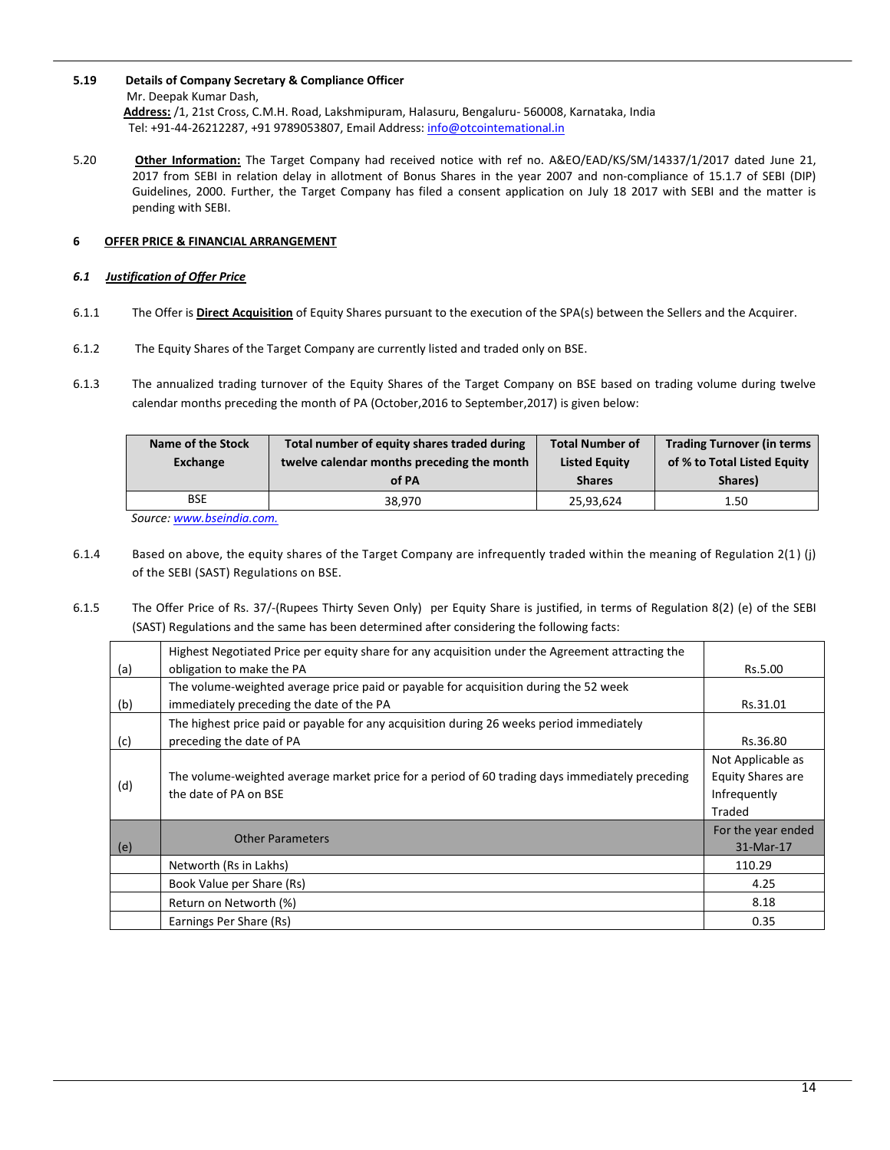- **5.19 Details of Company Secretary & Compliance Officer** Mr. Deepak Kumar Dash, **Address:** /1, 21st Cross, C.M.H. Road, Lakshmipuram, Halasuru, Bengaluru- 560008, Karnataka, India Tel: +91-44-26212287, +91 9789053807, Email Address[: info@otcointemational.in](mailto:info@otcointemational.in)
- 5.20 **Other Information:** The Target Company had received notice with ref no. A&EO/EAD/KS/SM/14337/1/2017 dated June 21, 2017 from SEBI in relation delay in allotment of Bonus Shares in the year 2007 and non-compliance of 15.1.7 of SEBI (DIP) Guidelines, 2000. Further, the Target Company has filed a consent application on July 18 2017 with SEBI and the matter is pending with SEBI.

# **6 OFFER PRICE & FINANCIAL ARRANGEMENT**

# *6.1 Justification of Offer Price*

- 6.1.1 The Offer is **Direct Acquisition** of Equity Shares pursuant to the execution of the SPA(s) between the Sellers and the Acquirer.
- 6.1.2 The Equity Shares of the Target Company are currently listed and traded only on BSE.
- 6.1.3 The annualized trading turnover of the Equity Shares of the Target Company on BSE based on trading volume during twelve calendar months preceding the month of PA (October,2016 to September,2017) is given below:

| Name of the Stock<br>Exchange | Total number of equity shares traded during<br>twelve calendar months preceding the month<br>of PA | <b>Total Number of</b><br><b>Listed Equity</b><br><b>Shares</b> | <b>Trading Turnover (in terms</b><br>of % to Total Listed Equity<br>Shares) |
|-------------------------------|----------------------------------------------------------------------------------------------------|-----------------------------------------------------------------|-----------------------------------------------------------------------------|
| BSE                           | 38.970                                                                                             | 25.93.624                                                       | 1.50                                                                        |
|                               |                                                                                                    |                                                                 |                                                                             |

 *Source[: www.bseindia.com.](http://www.bseindia.com/)* 

- 6.1.4 Based on above, the equity shares of the Target Company are infrequently traded within the meaning of Regulation 2(1 ) (j) of the SEBI (SAST) Regulations on BSE.
- 6.1.5 The Offer Price of Rs. 37/-(Rupees Thirty Seven Only) per Equity Share is justified, in terms of Regulation 8(2) (e) of the SEBI (SAST) Regulations and the same has been determined after considering the following facts:

|     | Highest Negotiated Price per equity share for any acquisition under the Agreement attracting the |                          |
|-----|--------------------------------------------------------------------------------------------------|--------------------------|
| (a) | obligation to make the PA                                                                        | Rs.5.00                  |
|     | The volume-weighted average price paid or payable for acquisition during the 52 week             |                          |
| (b) | immediately preceding the date of the PA                                                         | Rs.31.01                 |
|     | The highest price paid or payable for any acquisition during 26 weeks period immediately         |                          |
| (c) | preceding the date of PA                                                                         | Rs.36.80                 |
|     |                                                                                                  | Not Applicable as        |
|     | The volume-weighted average market price for a period of 60 trading days immediately preceding   | <b>Equity Shares are</b> |
| (d) | the date of PA on BSE                                                                            | Infrequently             |
|     |                                                                                                  | Traded                   |
|     | <b>Other Parameters</b>                                                                          | For the year ended       |
| (e) |                                                                                                  | 31-Mar-17                |
|     | Networth (Rs in Lakhs)                                                                           | 110.29                   |
|     | Book Value per Share (Rs)                                                                        | 4.25                     |
|     | Return on Networth (%)                                                                           | 8.18                     |
|     | Earnings Per Share (Rs)                                                                          | 0.35                     |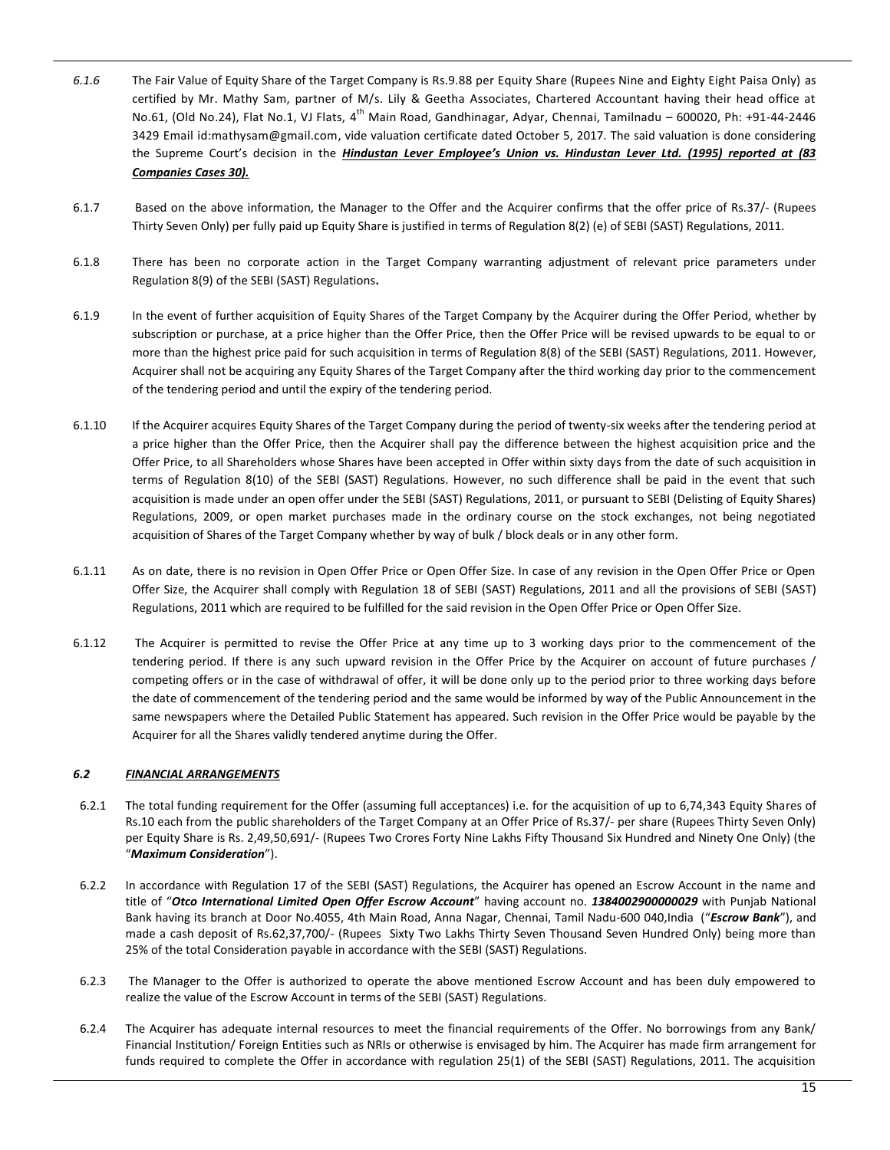- *6.1.6* The Fair Value of Equity Share of the Target Company is Rs.9.88 per Equity Share (Rupees Nine and Eighty Eight Paisa Only) as certified by Mr. Mathy Sam, partner of M/s. Lily & Geetha Associates, Chartered Accountant having their head office at No.61, (Old No.24), Flat No.1, VJ Flats, 4<sup>th</sup> Main Road, Gandhinagar, Adyar, Chennai, Tamilnadu – 600020, Ph: +91-44-2446 3429 Email id:mathysam@gmail.com, vide valuation certificate dated October 5, 2017. The said valuation is done considering the Supreme Court's decision in the *Hindustan Lever Employee's Union vs. Hindustan Lever Ltd. (1995) reported at (83 Companies Cases 30).*
- 6.1.7 Based on the above information, the Manager to the Offer and the Acquirer confirms that the offer price of Rs.37/- (Rupees Thirty Seven Only) per fully paid up Equity Share is justified in terms of Regulation 8(2) (e) of SEBI (SAST) Regulations, 2011.
- 6.1.8 There has been no corporate action in the Target Company warranting adjustment of relevant price parameters under Regulation 8(9) of the SEBI (SAST) Regulations**.**
- 6.1.9 In the event of further acquisition of Equity Shares of the Target Company by the Acquirer during the Offer Period, whether by subscription or purchase, at a price higher than the Offer Price, then the Offer Price will be revised upwards to be equal to or more than the highest price paid for such acquisition in terms of Regulation 8(8) of the SEBI (SAST) Regulations, 2011. However, Acquirer shall not be acquiring any Equity Shares of the Target Company after the third working day prior to the commencement of the tendering period and until the expiry of the tendering period.
- 6.1.10 If the Acquirer acquires Equity Shares of the Target Company during the period of twenty-six weeks after the tendering period at a price higher than the Offer Price, then the Acquirer shall pay the difference between the highest acquisition price and the Offer Price, to all Shareholders whose Shares have been accepted in Offer within sixty days from the date of such acquisition in terms of Regulation 8(10) of the SEBI (SAST) Regulations. However, no such difference shall be paid in the event that such acquisition is made under an open offer under the SEBI (SAST) Regulations, 2011, or pursuant to SEBI (Delisting of Equity Shares) Regulations, 2009, or open market purchases made in the ordinary course on the stock exchanges, not being negotiated acquisition of Shares of the Target Company whether by way of bulk / block deals or in any other form.
- 6.1.11 As on date, there is no revision in Open Offer Price or Open Offer Size. In case of any revision in the Open Offer Price or Open Offer Size, the Acquirer shall comply with Regulation 18 of SEBI (SAST) Regulations, 2011 and all the provisions of SEBI (SAST) Regulations, 2011 which are required to be fulfilled for the said revision in the Open Offer Price or Open Offer Size.
- 6.1.12 The Acquirer is permitted to revise the Offer Price at any time up to 3 working days prior to the commencement of the tendering period. If there is any such upward revision in the Offer Price by the Acquirer on account of future purchases / competing offers or in the case of withdrawal of offer, it will be done only up to the period prior to three working days before the date of commencement of the tendering period and the same would be informed by way of the Public Announcement in the same newspapers where the Detailed Public Statement has appeared. Such revision in the Offer Price would be payable by the Acquirer for all the Shares validly tendered anytime during the Offer.

## *6.2 FINANCIAL ARRANGEMENTS*

- 6.2.1 The total funding requirement for the Offer (assuming full acceptances) i.e. for the acquisition of up to 6,74,343 Equity Shares of Rs.10 each from the public shareholders of the Target Company at an Offer Price of Rs.37/- per share (Rupees Thirty Seven Only) per Equity Share is Rs. 2,49,50,691/- (Rupees Two Crores Forty Nine Lakhs Fifty Thousand Six Hundred and Ninety One Only) (the "*Maximum Consideration*").
- 6.2.2 In accordance with Regulation 17 of the SEBI (SAST) Regulations, the Acquirer has opened an Escrow Account in the name and title of "*Otco International Limited Open Offer Escrow Account*" having account no. *1384002900000029* with Punjab National Bank having its branch at Door No.4055, 4th Main Road, Anna Nagar, Chennai, Tamil Nadu-600 040,India ("*Escrow Bank*"), and made a cash deposit of Rs.62,37,700/- (Rupees Sixty Two Lakhs Thirty Seven Thousand Seven Hundred Only) being more than 25% of the total Consideration payable in accordance with the SEBI (SAST) Regulations.
- 6.2.3 The Manager to the Offer is authorized to operate the above mentioned Escrow Account and has been duly empowered to realize the value of the Escrow Account in terms of the SEBI (SAST) Regulations.
- 6.2.4 The Acquirer has adequate internal resources to meet the financial requirements of the Offer. No borrowings from any Bank/ Financial Institution/ Foreign Entities such as NRIs or otherwise is envisaged by him. The Acquirer has made firm arrangement for funds required to complete the Offer in accordance with regulation 25(1) of the SEBI (SAST) Regulations, 2011. The acquisition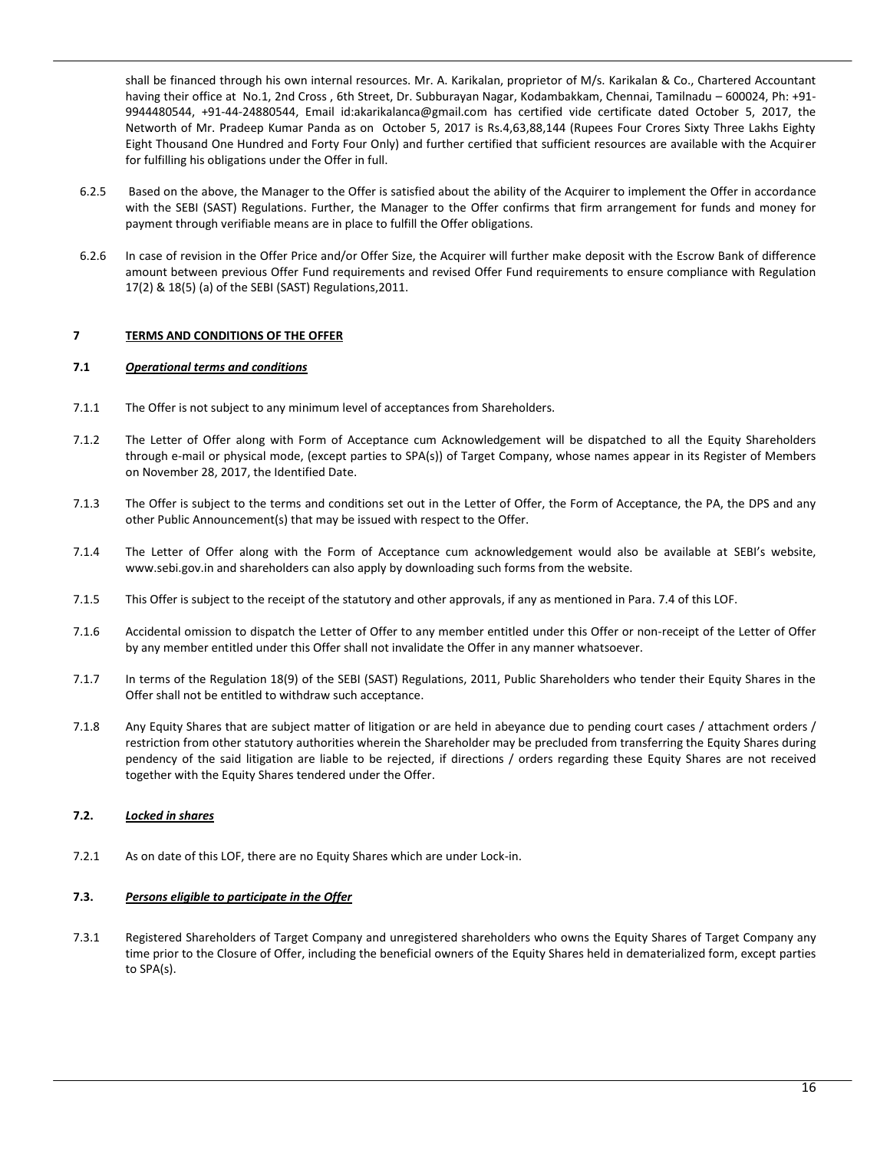shall be financed through his own internal resources. Mr. A. Karikalan, proprietor of M/s. Karikalan & Co., Chartered Accountant having their office at No.1, 2nd Cross , 6th Street, Dr. Subburayan Nagar, Kodambakkam, Chennai, Tamilnadu – 600024, Ph: +91- 9944480544, +91-44-24880544, Email id:akarikalanca@gmail.com has certified vide certificate dated October 5, 2017, the Networth of Mr. Pradeep Kumar Panda as on October 5, 2017 is Rs.4,63,88,144 (Rupees Four Crores Sixty Three Lakhs Eighty Eight Thousand One Hundred and Forty Four Only) and further certified that sufficient resources are available with the Acquirer for fulfilling his obligations under the Offer in full.

- 6.2.5 Based on the above, the Manager to the Offer is satisfied about the ability of the Acquirer to implement the Offer in accordance with the SEBI (SAST) Regulations. Further, the Manager to the Offer confirms that firm arrangement for funds and money for payment through verifiable means are in place to fulfill the Offer obligations.
- 6.2.6 In case of revision in the Offer Price and/or Offer Size, the Acquirer will further make deposit with the Escrow Bank of difference amount between previous Offer Fund requirements and revised Offer Fund requirements to ensure compliance with Regulation 17(2) & 18(5) (a) of the SEBI (SAST) Regulations,2011.

# **7 TERMS AND CONDITIONS OF THE OFFER**

#### **7.1** *Operational terms and conditions*

- 7.1.1 The Offer is not subject to any minimum level of acceptances from Shareholders.
- 7.1.2 The Letter of Offer along with Form of Acceptance cum Acknowledgement will be dispatched to all the Equity Shareholders through e-mail or physical mode, (except parties to SPA(s)) of Target Company, whose names appear in its Register of Members on November 28, 2017, the Identified Date.
- 7.1.3 The Offer is subject to the terms and conditions set out in the Letter of Offer, the Form of Acceptance, the PA, the DPS and any other Public Announcement(s) that may be issued with respect to the Offer.
- 7.1.4 The Letter of Offer along with the Form of Acceptance cum acknowledgement would also be available at SEBI's website, [www.sebi.gov.in](http://www.sebi.gov.in/) and shareholders can also apply by downloading such forms from the website.
- 7.1.5 This Offer is subject to the receipt of the statutory and other approvals, if any as mentioned in Para. 7.4 of this LOF.
- 7.1.6 Accidental omission to dispatch the Letter of Offer to any member entitled under this Offer or non-receipt of the Letter of Offer by any member entitled under this Offer shall not invalidate the Offer in any manner whatsoever.
- 7.1.7 In terms of the Regulation 18(9) of the SEBI (SAST) Regulations, 2011, Public Shareholders who tender their Equity Shares in the Offer shall not be entitled to withdraw such acceptance.
- 7.1.8 Any Equity Shares that are subject matter of litigation or are held in abeyance due to pending court cases / attachment orders / restriction from other statutory authorities wherein the Shareholder may be precluded from transferring the Equity Shares during pendency of the said litigation are liable to be rejected, if directions / orders regarding these Equity Shares are not received together with the Equity Shares tendered under the Offer.

## **7.2.** *Locked in shares*

7.2.1 As on date of this LOF, there are no Equity Shares which are under Lock-in.

# **7.3.** *Persons eligible to participate in the Offer*

7.3.1 Registered Shareholders of Target Company and unregistered shareholders who owns the Equity Shares of Target Company any time prior to the Closure of Offer, including the beneficial owners of the Equity Shares held in dematerialized form, except parties to SPA(s).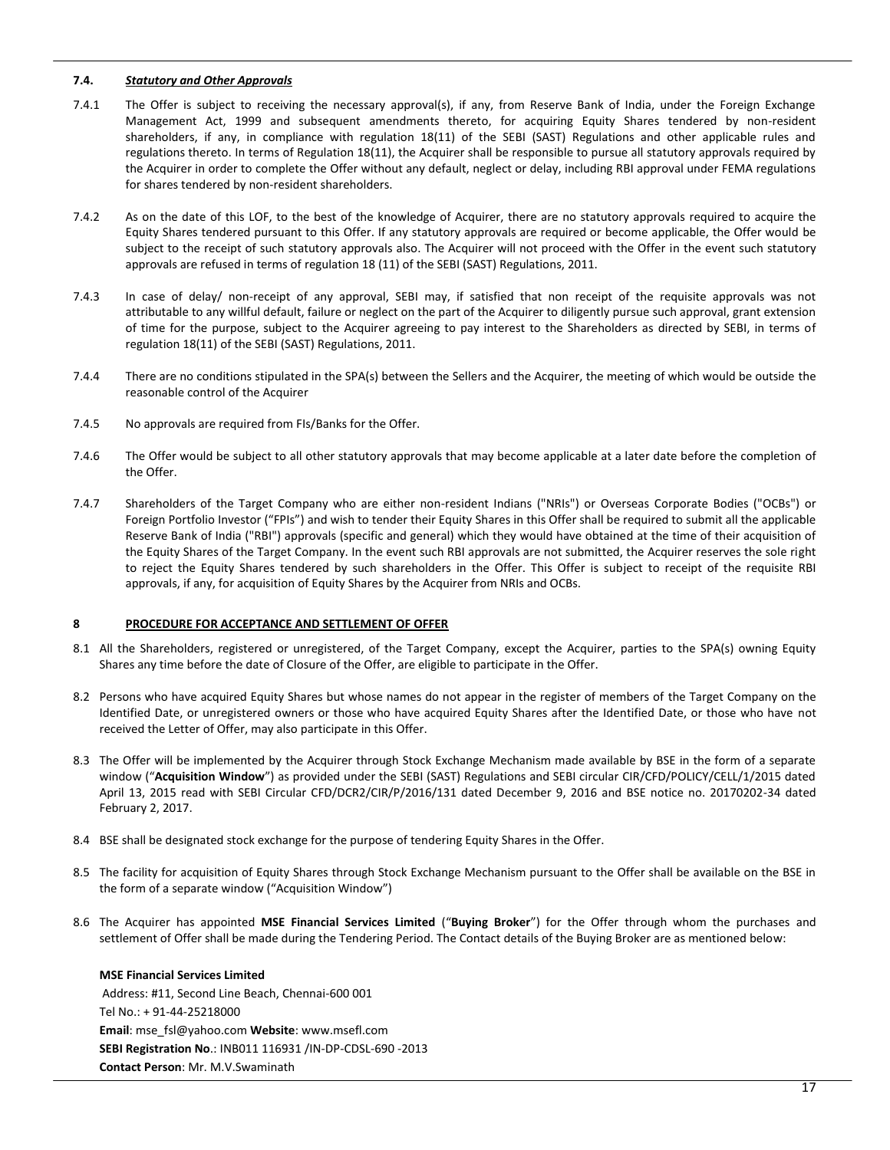## **7.4.** *Statutory and Other Approvals*

- 7.4.1 The Offer is subject to receiving the necessary approval(s), if any, from Reserve Bank of India, under the Foreign Exchange Management Act, 1999 and subsequent amendments thereto, for acquiring Equity Shares tendered by non-resident shareholders, if any, in compliance with regulation 18(11) of the SEBI (SAST) Regulations and other applicable rules and regulations thereto. In terms of Regulation 18(11), the Acquirer shall be responsible to pursue all statutory approvals required by the Acquirer in order to complete the Offer without any default, neglect or delay, including RBI approval under FEMA regulations for shares tendered by non-resident shareholders.
- 7.4.2 As on the date of this LOF, to the best of the knowledge of Acquirer, there are no statutory approvals required to acquire the Equity Shares tendered pursuant to this Offer. If any statutory approvals are required or become applicable, the Offer would be subject to the receipt of such statutory approvals also. The Acquirer will not proceed with the Offer in the event such statutory approvals are refused in terms of regulation 18 (11) of the SEBI (SAST) Regulations, 2011.
- 7.4.3 In case of delay/ non-receipt of any approval, SEBI may, if satisfied that non receipt of the requisite approvals was not attributable to any willful default, failure or neglect on the part of the Acquirer to diligently pursue such approval, grant extension of time for the purpose, subject to the Acquirer agreeing to pay interest to the Shareholders as directed by SEBI, in terms of regulation 18(11) of the SEBI (SAST) Regulations, 2011.
- 7.4.4 There are no conditions stipulated in the SPA(s) between the Sellers and the Acquirer, the meeting of which would be outside the reasonable control of the Acquirer
- 7.4.5 No approvals are required from FIs/Banks for the Offer.
- 7.4.6 The Offer would be subject to all other statutory approvals that may become applicable at a later date before the completion of the Offer.
- 7.4.7 Shareholders of the Target Company who are either non-resident Indians ("NRIs") or Overseas Corporate Bodies ("OCBs") or Foreign Portfolio Investor ("FPIs") and wish to tender their Equity Shares in this Offer shall be required to submit all the applicable Reserve Bank of India ("RBI") approvals (specific and general) which they would have obtained at the time of their acquisition of the Equity Shares of the Target Company. In the event such RBI approvals are not submitted, the Acquirer reserves the sole right to reject the Equity Shares tendered by such shareholders in the Offer. This Offer is subject to receipt of the requisite RBI approvals, if any, for acquisition of Equity Shares by the Acquirer from NRIs and OCBs.

## **8 PROCEDURE FOR ACCEPTANCE AND SETTLEMENT OF OFFER**

- 8.1 All the Shareholders, registered or unregistered, of the Target Company, except the Acquirer, parties to the SPA(s) owning Equity Shares any time before the date of Closure of the Offer, are eligible to participate in the Offer.
- 8.2 Persons who have acquired Equity Shares but whose names do not appear in the register of members of the Target Company on the Identified Date, or unregistered owners or those who have acquired Equity Shares after the Identified Date, or those who have not received the Letter of Offer, may also participate in this Offer.
- 8.3 The Offer will be implemented by the Acquirer through Stock Exchange Mechanism made available by BSE in the form of a separate window ("**Acquisition Window**") as provided under the SEBI (SAST) Regulations and SEBI circular CIR/CFD/POLICY/CELL/1/2015 dated April 13, 2015 read with SEBI Circular CFD/DCR2/CIR/P/2016/131 dated December 9, 2016 and BSE notice no. 20170202-34 dated February 2, 2017.
- 8.4 BSE shall be designated stock exchange for the purpose of tendering Equity Shares in the Offer.
- 8.5 The facility for acquisition of Equity Shares through Stock Exchange Mechanism pursuant to the Offer shall be available on the BSE in the form of a separate window ("Acquisition Window")
- 8.6 The Acquirer has appointed **MSE Financial Services Limited** ("**Buying Broker**") for the Offer through whom the purchases and settlement of Offer shall be made during the Tendering Period. The Contact details of the Buying Broker are as mentioned below:

**MSE Financial Services Limited** Address: #11, Second Line Beach, Chennai-600 001 Tel No.: + 91-44-25218000 **Email**: mse\_fsl@yahoo.com **Website**: www.msefl.com **SEBI Registration No**.: INB011 116931 /IN-DP-CDSL-690 -2013 **Contact Person**: Mr. M.V.Swaminath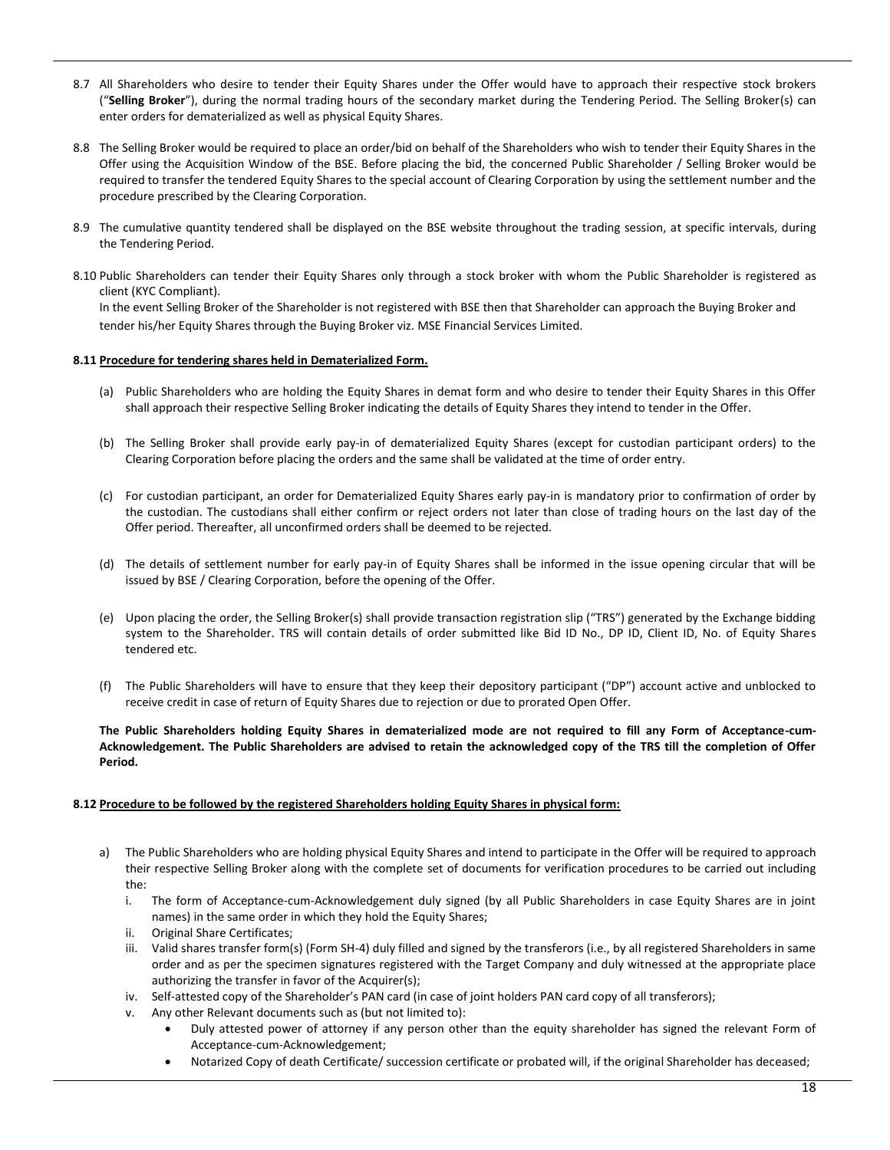- 8.7 All Shareholders who desire to tender their Equity Shares under the Offer would have to approach their respective stock brokers ("**Selling Broker**"), during the normal trading hours of the secondary market during the Tendering Period. The Selling Broker(s) can enter orders for dematerialized as well as physical Equity Shares.
- 8.8 The Selling Broker would be required to place an order/bid on behalf of the Shareholders who wish to tender their Equity Shares in the Offer using the Acquisition Window of the BSE. Before placing the bid, the concerned Public Shareholder / Selling Broker would be required to transfer the tendered Equity Shares to the special account of Clearing Corporation by using the settlement number and the procedure prescribed by the Clearing Corporation.
- 8.9 The cumulative quantity tendered shall be displayed on the BSE website throughout the trading session, at specific intervals, during the Tendering Period.
- 8.10 Public Shareholders can tender their Equity Shares only through a stock broker with whom the Public Shareholder is registered as client (KYC Compliant).

In the event Selling Broker of the Shareholder is not registered with BSE then that Shareholder can approach the Buying Broker and tender his/her Equity Shares through the Buying Broker viz. MSE Financial Services Limited.

## **8.11 Procedure for tendering shares held in Dematerialized Form.**

- (a) Public Shareholders who are holding the Equity Shares in demat form and who desire to tender their Equity Shares in this Offer shall approach their respective Selling Broker indicating the details of Equity Shares they intend to tender in the Offer.
- (b) The Selling Broker shall provide early pay-in of dematerialized Equity Shares (except for custodian participant orders) to the Clearing Corporation before placing the orders and the same shall be validated at the time of order entry.
- (c) For custodian participant, an order for Dematerialized Equity Shares early pay-in is mandatory prior to confirmation of order by the custodian. The custodians shall either confirm or reject orders not later than close of trading hours on the last day of the Offer period. Thereafter, all unconfirmed orders shall be deemed to be rejected.
- (d) The details of settlement number for early pay-in of Equity Shares shall be informed in the issue opening circular that will be issued by BSE / Clearing Corporation, before the opening of the Offer.
- (e) Upon placing the order, the Selling Broker(s) shall provide transaction registration slip ("TRS") generated by the Exchange bidding system to the Shareholder. TRS will contain details of order submitted like Bid ID No., DP ID, Client ID, No. of Equity Shares tendered etc.
- (f) The Public Shareholders will have to ensure that they keep their depository participant ("DP") account active and unblocked to receive credit in case of return of Equity Shares due to rejection or due to prorated Open Offer.

#### **The Public Shareholders holding Equity Shares in dematerialized mode are not required to fill any Form of Acceptance-cum-Acknowledgement. The Public Shareholders are advised to retain the acknowledged copy of the TRS till the completion of Offer Period.**

#### **8.12 Procedure to be followed by the registered Shareholders holding Equity Shares in physical form:**

- a) The Public Shareholders who are holding physical Equity Shares and intend to participate in the Offer will be required to approach their respective Selling Broker along with the complete set of documents for verification procedures to be carried out including the:
	- i. The form of Acceptance-cum-Acknowledgement duly signed (by all Public Shareholders in case Equity Shares are in joint names) in the same order in which they hold the Equity Shares;
	- ii. Original Share Certificates;
	- iii. Valid shares transfer form(s) (Form SH-4) duly filled and signed by the transferors (i.e., by all registered Shareholders in same order and as per the specimen signatures registered with the Target Company and duly witnessed at the appropriate place authorizing the transfer in favor of the Acquirer(s);
	- iv. Self-attested copy of the Shareholder's PAN card (in case of joint holders PAN card copy of all transferors);
	- v. Any other Relevant documents such as (but not limited to):
		- Duly attested power of attorney if any person other than the equity shareholder has signed the relevant Form of Acceptance-cum-Acknowledgement;
		- Notarized Copy of death Certificate/ succession certificate or probated will, if the original Shareholder has deceased;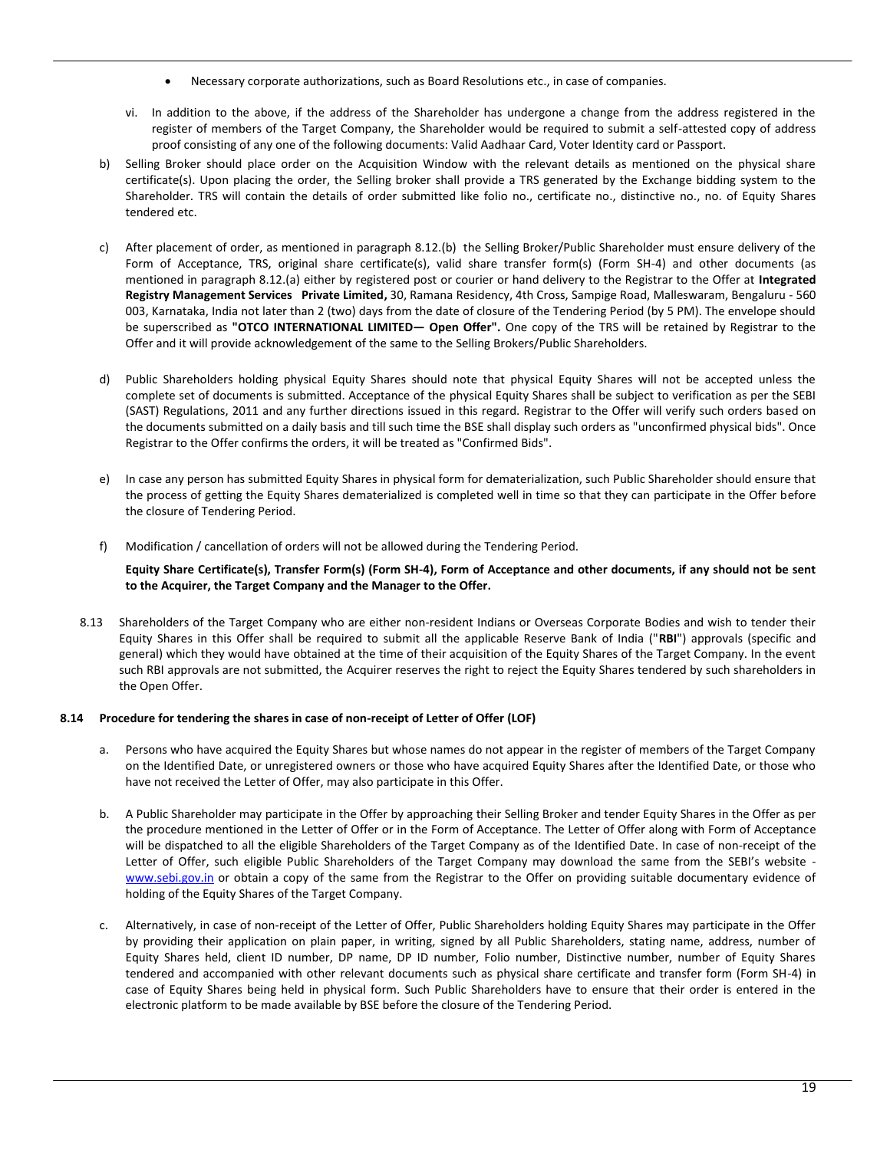- Necessary corporate authorizations, such as Board Resolutions etc., in case of companies.
- vi. In addition to the above, if the address of the Shareholder has undergone a change from the address registered in the register of members of the Target Company, the Shareholder would be required to submit a self-attested copy of address proof consisting of any one of the following documents: Valid Aadhaar Card, Voter Identity card or Passport.
- b) Selling Broker should place order on the Acquisition Window with the relevant details as mentioned on the physical share certificate(s). Upon placing the order, the Selling broker shall provide a TRS generated by the Exchange bidding system to the Shareholder. TRS will contain the details of order submitted like folio no., certificate no., distinctive no., no. of Equity Shares tendered etc.
- c) After placement of order, as mentioned in paragraph 8.12.(b) the Selling Broker/Public Shareholder must ensure delivery of the Form of Acceptance, TRS, original share certificate(s), valid share transfer form(s) (Form SH-4) and other documents (as mentioned in paragraph 8.12.(a) either by registered post or courier or hand delivery to the Registrar to the Offer at **Integrated Registry Management Services Private Limited,** 30, Ramana Residency, 4th Cross, Sampige Road, Malleswaram, Bengaluru - 560 003, Karnataka, India not later than 2 (two) days from the date of closure of the Tendering Period (by 5 PM). The envelope should be superscribed as **"OTCO INTERNATIONAL LIMITED— Open Offer".** One copy of the TRS will be retained by Registrar to the Offer and it will provide acknowledgement of the same to the Selling Brokers/Public Shareholders.
- d) Public Shareholders holding physical Equity Shares should note that physical Equity Shares will not be accepted unless the complete set of documents is submitted. Acceptance of the physical Equity Shares shall be subject to verification as per the SEBI (SAST) Regulations, 2011 and any further directions issued in this regard. Registrar to the Offer will verify such orders based on the documents submitted on a daily basis and till such time the BSE shall display such orders as "unconfirmed physical bids". Once Registrar to the Offer confirms the orders, it will be treated as "Confirmed Bids".
- e) In case any person has submitted Equity Shares in physical form for dematerialization, such Public Shareholder should ensure that the process of getting the Equity Shares dematerialized is completed well in time so that they can participate in the Offer before the closure of Tendering Period.
- f) Modification / cancellation of orders will not be allowed during the Tendering Period.

**Equity Share Certificate(s), Transfer Form(s) (Form SH-4), Form of Acceptance and other documents, if any should not be sent to the Acquirer, the Target Company and the Manager to the Offer.**

8.13 Shareholders of the Target Company who are either non-resident Indians or Overseas Corporate Bodies and wish to tender their Equity Shares in this Offer shall be required to submit all the applicable Reserve Bank of India ("**RBI**") approvals (specific and general) which they would have obtained at the time of their acquisition of the Equity Shares of the Target Company. In the event such RBI approvals are not submitted, the Acquirer reserves the right to reject the Equity Shares tendered by such shareholders in the Open Offer.

#### **8.14 Procedure for tendering the shares in case of non-receipt of Letter of Offer (LOF)**

- a. Persons who have acquired the Equity Shares but whose names do not appear in the register of members of the Target Company on the Identified Date, or unregistered owners or those who have acquired Equity Shares after the Identified Date, or those who have not received the Letter of Offer, may also participate in this Offer.
- b. A Public Shareholder may participate in the Offer by approaching their Selling Broker and tender Equity Shares in the Offer as per the procedure mentioned in the Letter of Offer or in the Form of Acceptance. The Letter of Offer along with Form of Acceptance will be dispatched to all the eligible Shareholders of the Target Company as of the Identified Date. In case of non-receipt of the Letter of Offer, such eligible Public Shareholders of the Target Company may download the same from the SEBI's website [www.sebi.gov.in](http://www.sebi.gov.in/) or obtain a copy of the same from the Registrar to the Offer on providing suitable documentary evidence of holding of the Equity Shares of the Target Company.
- c. Alternatively, in case of non-receipt of the Letter of Offer, Public Shareholders holding Equity Shares may participate in the Offer by providing their application on plain paper, in writing, signed by all Public Shareholders, stating name, address, number of Equity Shares held, client ID number, DP name, DP ID number, Folio number, Distinctive number, number of Equity Shares tendered and accompanied with other relevant documents such as physical share certificate and transfer form (Form SH-4) in case of Equity Shares being held in physical form. Such Public Shareholders have to ensure that their order is entered in the electronic platform to be made available by BSE before the closure of the Tendering Period.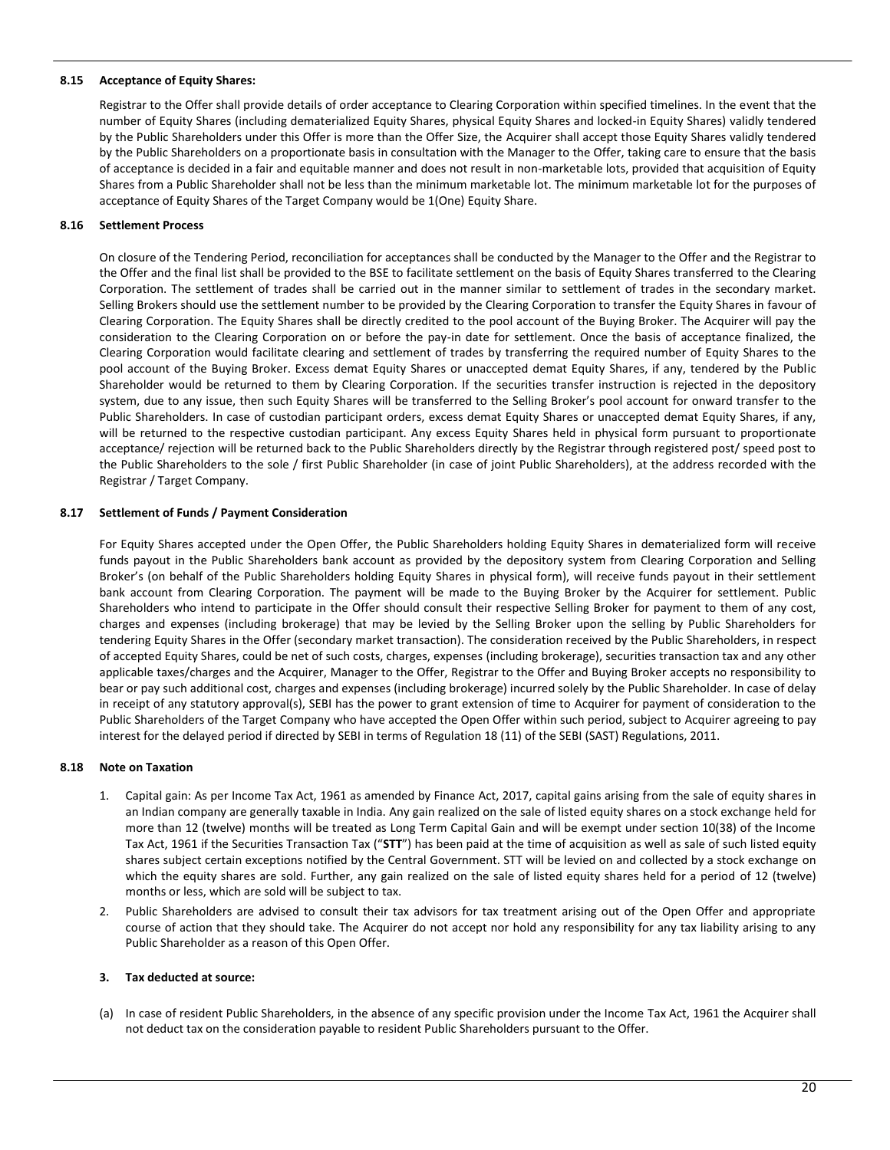#### **8.15 Acceptance of Equity Shares:**

Registrar to the Offer shall provide details of order acceptance to Clearing Corporation within specified timelines. In the event that the number of Equity Shares (including dematerialized Equity Shares, physical Equity Shares and locked-in Equity Shares) validly tendered by the Public Shareholders under this Offer is more than the Offer Size, the Acquirer shall accept those Equity Shares validly tendered by the Public Shareholders on a proportionate basis in consultation with the Manager to the Offer, taking care to ensure that the basis of acceptance is decided in a fair and equitable manner and does not result in non-marketable lots, provided that acquisition of Equity Shares from a Public Shareholder shall not be less than the minimum marketable lot. The minimum marketable lot for the purposes of acceptance of Equity Shares of the Target Company would be 1(One) Equity Share.

#### **8.16 Settlement Process**

On closure of the Tendering Period, reconciliation for acceptances shall be conducted by the Manager to the Offer and the Registrar to the Offer and the final list shall be provided to the BSE to facilitate settlement on the basis of Equity Shares transferred to the Clearing Corporation. The settlement of trades shall be carried out in the manner similar to settlement of trades in the secondary market. Selling Brokers should use the settlement number to be provided by the Clearing Corporation to transfer the Equity Shares in favour of Clearing Corporation. The Equity Shares shall be directly credited to the pool account of the Buying Broker. The Acquirer will pay the consideration to the Clearing Corporation on or before the pay-in date for settlement. Once the basis of acceptance finalized, the Clearing Corporation would facilitate clearing and settlement of trades by transferring the required number of Equity Shares to the pool account of the Buying Broker. Excess demat Equity Shares or unaccepted demat Equity Shares, if any, tendered by the Public Shareholder would be returned to them by Clearing Corporation. If the securities transfer instruction is rejected in the depository system, due to any issue, then such Equity Shares will be transferred to the Selling Broker's pool account for onward transfer to the Public Shareholders. In case of custodian participant orders, excess demat Equity Shares or unaccepted demat Equity Shares, if any, will be returned to the respective custodian participant. Any excess Equity Shares held in physical form pursuant to proportionate acceptance/ rejection will be returned back to the Public Shareholders directly by the Registrar through registered post/ speed post to the Public Shareholders to the sole / first Public Shareholder (in case of joint Public Shareholders), at the address recorded with the Registrar / Target Company.

#### **8.17 Settlement of Funds / Payment Consideration**

For Equity Shares accepted under the Open Offer, the Public Shareholders holding Equity Shares in dematerialized form will receive funds payout in the Public Shareholders bank account as provided by the depository system from Clearing Corporation and Selling Broker's (on behalf of the Public Shareholders holding Equity Shares in physical form), will receive funds payout in their settlement bank account from Clearing Corporation. The payment will be made to the Buying Broker by the Acquirer for settlement. Public Shareholders who intend to participate in the Offer should consult their respective Selling Broker for payment to them of any cost, charges and expenses (including brokerage) that may be levied by the Selling Broker upon the selling by Public Shareholders for tendering Equity Shares in the Offer (secondary market transaction). The consideration received by the Public Shareholders, in respect of accepted Equity Shares, could be net of such costs, charges, expenses (including brokerage), securities transaction tax and any other applicable taxes/charges and the Acquirer, Manager to the Offer, Registrar to the Offer and Buying Broker accepts no responsibility to bear or pay such additional cost, charges and expenses (including brokerage) incurred solely by the Public Shareholder. In case of delay in receipt of any statutory approval(s), SEBI has the power to grant extension of time to Acquirer for payment of consideration to the Public Shareholders of the Target Company who have accepted the Open Offer within such period, subject to Acquirer agreeing to pay interest for the delayed period if directed by SEBI in terms of Regulation 18 (11) of the SEBI (SAST) Regulations, 2011.

#### **8.18 Note on Taxation**

- 1. Capital gain: As per Income Tax Act, 1961 as amended by Finance Act, 2017, capital gains arising from the sale of equity shares in an Indian company are generally taxable in India. Any gain realized on the sale of listed equity shares on a stock exchange held for more than 12 (twelve) months will be treated as Long Term Capital Gain and will be exempt under section 10(38) of the Income Tax Act, 1961 if the Securities Transaction Tax ("**STT**") has been paid at the time of acquisition as well as sale of such listed equity shares subject certain exceptions notified by the Central Government. STT will be levied on and collected by a stock exchange on which the equity shares are sold. Further, any gain realized on the sale of listed equity shares held for a period of 12 (twelve) months or less, which are sold will be subject to tax.
- 2. Public Shareholders are advised to consult their tax advisors for tax treatment arising out of the Open Offer and appropriate course of action that they should take. The Acquirer do not accept nor hold any responsibility for any tax liability arising to any Public Shareholder as a reason of this Open Offer.

#### **3. Tax deducted at source:**

(a) In case of resident Public Shareholders, in the absence of any specific provision under the Income Tax Act, 1961 the Acquirer shall not deduct tax on the consideration payable to resident Public Shareholders pursuant to the Offer.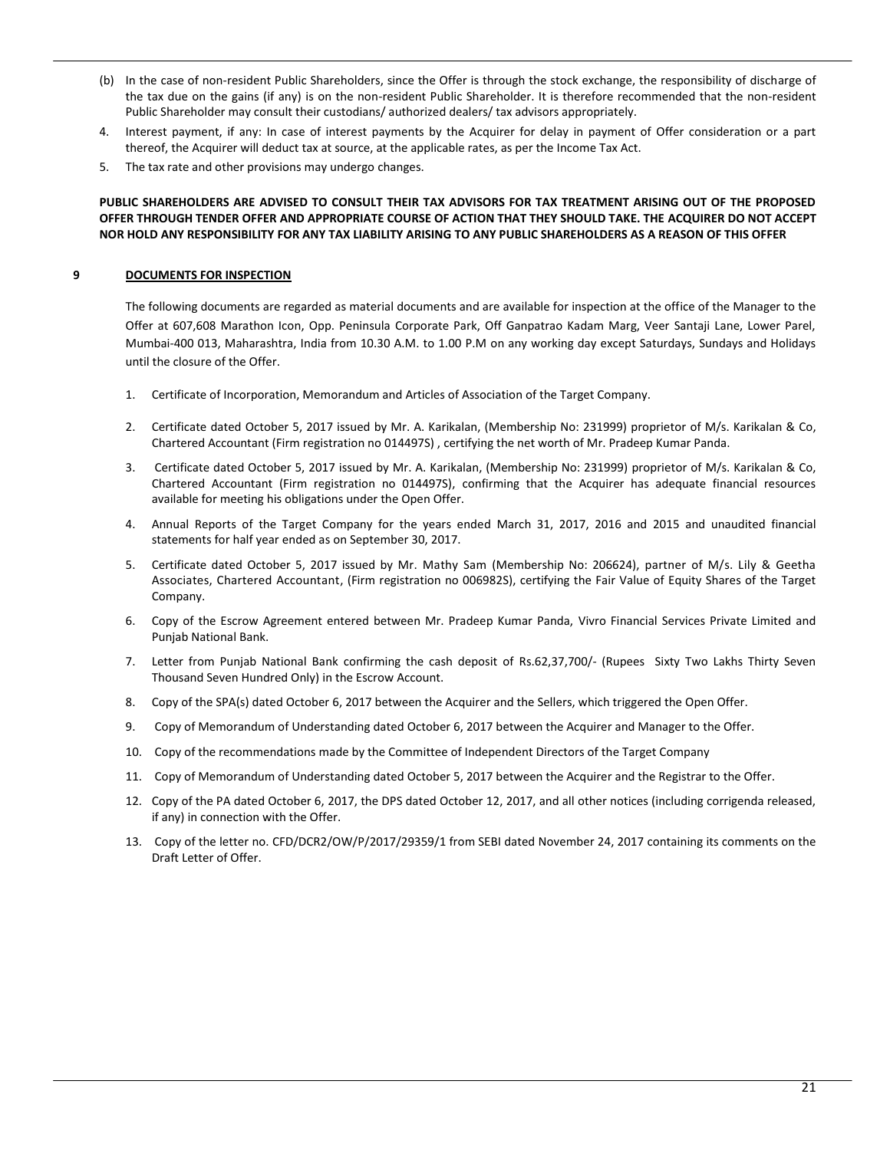- (b) In the case of non-resident Public Shareholders, since the Offer is through the stock exchange, the responsibility of discharge of the tax due on the gains (if any) is on the non-resident Public Shareholder. It is therefore recommended that the non-resident Public Shareholder may consult their custodians/ authorized dealers/ tax advisors appropriately.
- 4. Interest payment, if any: In case of interest payments by the Acquirer for delay in payment of Offer consideration or a part thereof, the Acquirer will deduct tax at source, at the applicable rates, as per the Income Tax Act.
- 5. The tax rate and other provisions may undergo changes.

# **PUBLIC SHAREHOLDERS ARE ADVISED TO CONSULT THEIR TAX ADVISORS FOR TAX TREATMENT ARISING OUT OF THE PROPOSED OFFER THROUGH TENDER OFFER AND APPROPRIATE COURSE OF ACTION THAT THEY SHOULD TAKE. THE ACQUIRER DO NOT ACCEPT NOR HOLD ANY RESPONSIBILITY FOR ANY TAX LIABILITY ARISING TO ANY PUBLIC SHAREHOLDERS AS A REASON OF THIS OFFER**

# **9 DOCUMENTS FOR INSPECTION**

The following documents are regarded as material documents and are available for inspection at the office of the Manager to the Offer at 607,608 Marathon Icon, Opp. Peninsula Corporate Park, Off Ganpatrao Kadam Marg, Veer Santaji Lane, Lower Parel, Mumbai-400 013, Maharashtra, India from 10.30 A.M. to 1.00 P.M on any working day except Saturdays, Sundays and Holidays until the closure of the Offer.

- 1. Certificate of Incorporation, Memorandum and Articles of Association of the Target Company.
- 2. Certificate dated October 5, 2017 issued by Mr. A. Karikalan, (Membership No: 231999) proprietor of M/s. Karikalan & Co, Chartered Accountant (Firm registration no 014497S) , certifying the net worth of Mr. Pradeep Kumar Panda.
- 3. Certificate dated October 5, 2017 issued by Mr. A. Karikalan, (Membership No: 231999) proprietor of M/s. Karikalan & Co, Chartered Accountant (Firm registration no 014497S), confirming that the Acquirer has adequate financial resources available for meeting his obligations under the Open Offer.
- 4. Annual Reports of the Target Company for the years ended March 31, 2017, 2016 and 2015 and unaudited financial statements for half year ended as on September 30, 2017.
- 5. Certificate dated October 5, 2017 issued by Mr. Mathy Sam (Membership No: 206624), partner of M/s. Lily & Geetha Associates, Chartered Accountant, (Firm registration no 006982S), certifying the Fair Value of Equity Shares of the Target Company.
- 6. Copy of the Escrow Agreement entered between Mr. Pradeep Kumar Panda, Vivro Financial Services Private Limited and Punjab National Bank.
- 7. Letter from Punjab National Bank confirming the cash deposit of Rs.62,37,700/- (Rupees Sixty Two Lakhs Thirty Seven Thousand Seven Hundred Only) in the Escrow Account.
- 8. Copy of the SPA(s) dated October 6, 2017 between the Acquirer and the Sellers, which triggered the Open Offer.
- 9. Copy of Memorandum of Understanding dated October 6, 2017 between the Acquirer and Manager to the Offer.
- 10. Copy of the recommendations made by the Committee of Independent Directors of the Target Company
- 11. Copy of Memorandum of Understanding dated October 5, 2017 between the Acquirer and the Registrar to the Offer.
- 12. Copy of the PA dated October 6, 2017, the DPS dated October 12, 2017, and all other notices (including corrigenda released, if any) in connection with the Offer.
- 13. Copy of the letter no. CFD/DCR2/OW/P/2017/29359/1 from SEBI dated November 24, 2017 containing its comments on the Draft Letter of Offer.